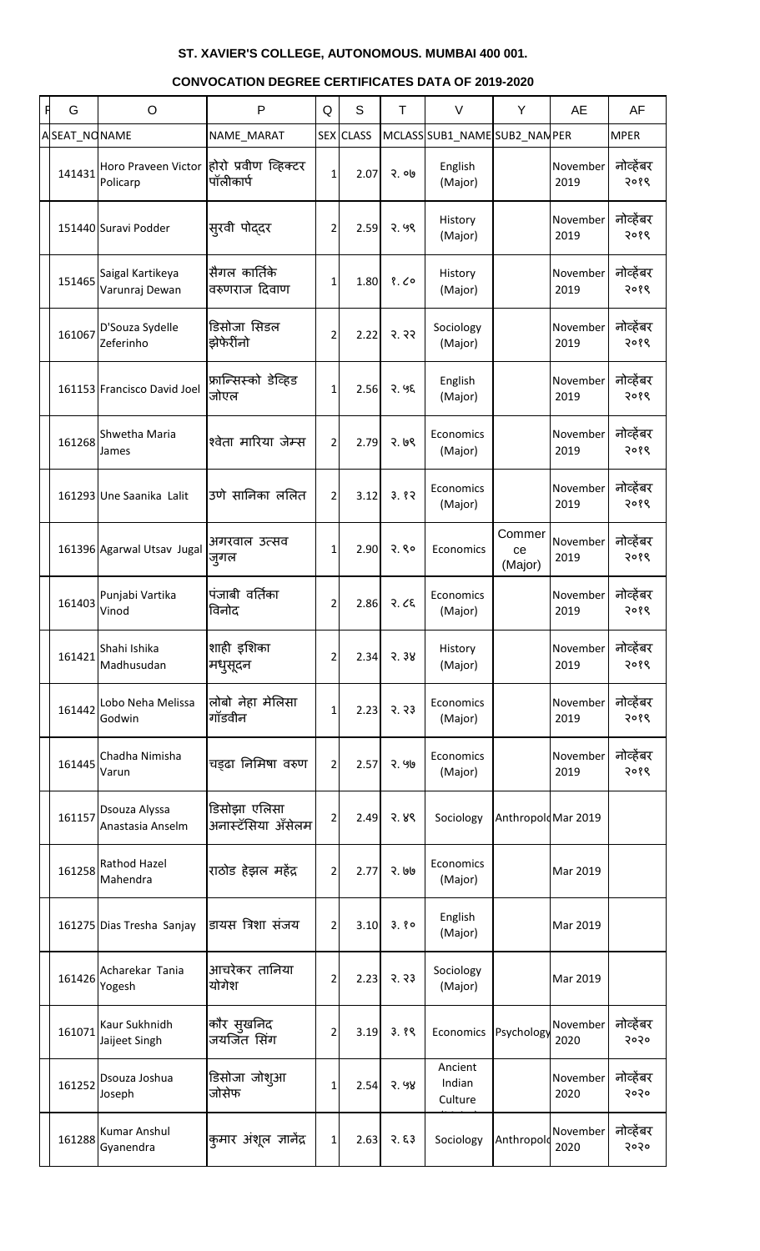| F | G            | $\circ$                                              | P                                  | Q              | S                | T     | $\vee$                        | Y                       | AE               | AF                |
|---|--------------|------------------------------------------------------|------------------------------------|----------------|------------------|-------|-------------------------------|-------------------------|------------------|-------------------|
|   | ASEAT_NONAME |                                                      | NAME_MARAT                         |                | <b>SEX CLASS</b> |       | MCLASS SUB1_NAME SUB2_NAN PER |                         |                  | <b>MPER</b>       |
|   | 141431       | Horo Praveen Victor होरो प्रवीण व्हिक्टर<br>Policarp | पॉलीकार्प                          | $\mathbf{1}$   | 2.07             | २. ०७ | English<br>(Major)            |                         | November<br>2019 | नोव्हेंबर<br>२०१९ |
|   |              | 151440 Suravi Podder                                 | स् <b>रवी</b> पोद्दर               | $\overline{2}$ | 2.59             | 2.99  | History<br>(Major)            |                         | November<br>2019 | नोव्हेंबर<br>२०१९ |
|   | 151465       | Saigal Kartikeya<br>Varunraj Dewan                   | सैगल कार्तिके<br>वरुणराज दिवाण     | 1 <sub>1</sub> | 1.80             | 8.60  | History<br>(Major)            |                         | November<br>2019 | नोव्हेंबर<br>२०१९ |
|   | 161067       | D'Souza Sydelle<br>Zeferinho                         | डिसोजा सिडल<br>झेफेरींनो           | $\overline{2}$ | 2.22             | 3.33  | Sociology<br>(Major)          |                         | November<br>2019 | नोव्हेंबर<br>२०१९ |
|   |              | 161153 Francisco David Joel                          | फ्रान्सिस्को डेव्हिड<br>जोएल       | $\mathbf{1}$   | 2.56             | 2.95  | English<br>(Major)            |                         | November<br>2019 | नोव्हेंबर<br>२०१९ |
|   | 161268       | Shwetha Maria<br>James                               | श्वेता मारिया जेम्स                | $\overline{2}$ | 2.79             | 2.69  | Economics<br>(Major)          |                         | November<br>2019 | नोव्हेंबर<br>२०१९ |
|   |              | 161293 Une Saanika Lalit                             | उणे सानिका ललित                    | $\overline{2}$ | 3.12             | 3.82  | Economics<br>(Major)          |                         | November<br>2019 | नोव्हेंबर<br>२०१९ |
|   |              | 161396 Agarwal Utsav Jugal                           | अगरवाल उत्सव<br>जुगल               | $1\vert$       | 2.90             | 2.80  | Economics                     | Commer<br>ce<br>(Major) | November<br>2019 | नोव्हेंबर<br>२०१९ |
|   | 161403       | Punjabi Vartika<br>Vinod                             | पंजाबी वर्तिका<br>विनोद            | 2              | 2.86             | 3.66  | Economics<br>(Major)          |                         | November<br>2019 | नोव्हेंबर<br>२०१९ |
|   | 161421       | Shahi Ishika<br>Madhusudan                           | शाही इशिका<br>मधुसूदन              | 2              | 2.34             | 3.38  | History<br>(Major)            |                         | November<br>2019 | नोव्हेंबर<br>२०१९ |
|   | 161442       | Lobo Neha Melissa<br>Godwin                          | लोबो नेहा मेलिसा<br>गॉडवीन         | 1              | 2.23             | 3.33  | Economics<br>(Major)          |                         | November<br>2019 | नोव्हेंबर<br>२०१९ |
|   | 161445       | Chadha Nimisha<br>Varun                              | चड़ढा निमिषा वरुण                  | $\overline{2}$ | 2.57             | २. ५७ | Economics<br>(Major)          |                         | November<br>2019 | नोव्हेंबर<br>२०१९ |
|   | 161157       | Dsouza Alyssa<br>Anastasia Anselm                    | डिसोझा एलिसा<br>अनास्टॅसिया ॲंसेलम | 2              | 2.49             | २. ४९ | Sociology                     | Anthropold Mar 2019     |                  |                   |
|   | 161258       | Rathod Hazel<br>Mahendra                             | राठोड हेझल महेंद्र                 | $\overline{2}$ | 2.77             | २. ७७ | Economics<br>(Major)          |                         | Mar 2019         |                   |
|   |              | 161275 Dias Tresha Sanjay                            | डायस त्रिशा संजय                   | 2              | 3.10             | 3.80  | English<br>(Major)            |                         | Mar 2019         |                   |
|   | 161426       | Acharekar Tania<br>Yogesh                            | आचरेकर तानिया<br>योगेश             | 2              | 2.23             | 3.33  | Sociology<br>(Major)          |                         | Mar 2019         |                   |
|   | 161071       | Kaur Sukhnidh<br>Jaijeet Singh                       | कौर सुखनिद<br>जयजिंत सिंग          | 2              | 3.19             | 3.89  | Economics                     | Psychology              | November<br>2020 | नोव्हेंबर<br>२०२० |
|   | 161252       | Dsouza Joshua<br>Joseph                              | डिसोजा जोशुआ<br>जोसेफ              | 1              | 2.54             | 3.98  | Ancient<br>Indian<br>Culture  |                         | November<br>2020 | नोव्हेंबर<br>२०२० |
|   | 161288       | <b>Kumar Anshul</b><br>Gyanendra                     | कुमार अंशूल ज्ञानेंद्र             | $\mathbf{1}$   | 2.63             | 3.53  | Sociology                     | Anthropold              | November<br>2020 | नोव्हेंबर<br>२०२० |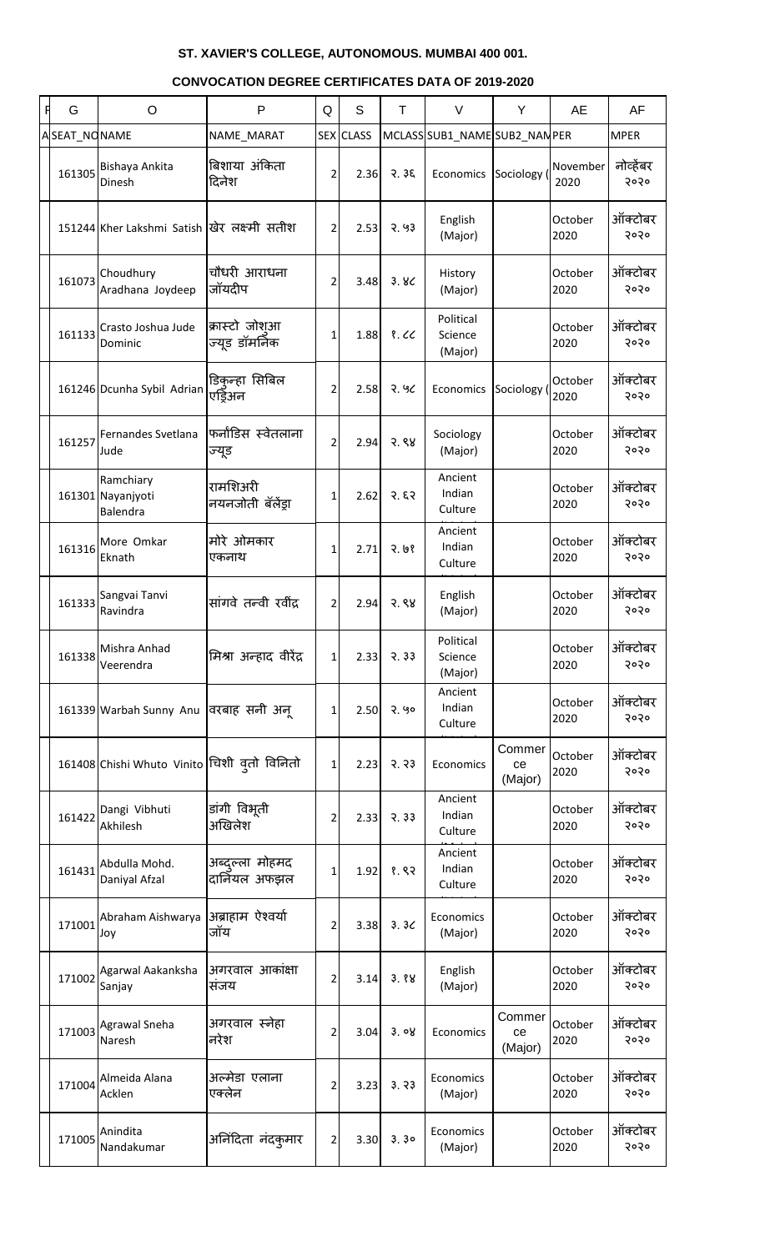| G            | O                                             | $\mathsf{P}$                     | Q              | S                | T             | $\vee$                          | Y                       | <b>AE</b>        | AF                |
|--------------|-----------------------------------------------|----------------------------------|----------------|------------------|---------------|---------------------------------|-------------------------|------------------|-------------------|
| ASEAT_NONAME |                                               | NAME_MARAT                       |                | <b>SEX CLASS</b> |               | MCLASS SUB1_NAME SUB2_NAN PER   |                         |                  | <b>MPER</b>       |
| 161305       | Bishaya Ankita<br>Dinesh                      | बिशाया अंकिता<br>दिनेश           | $\overline{2}$ | 2.36             | 3.36          | Economics                       | Sociology (             | November<br>2020 | नोव्हेंबर<br>२०२० |
|              | 151244 Kher Lakshmi Satish खिर लक्ष्मी सतीश   |                                  | 2 <sup>1</sup> | 2.53             | 2.93          | English<br>(Major)              |                         | October<br>2020  | ऑक्टोबर<br>२०२०   |
| 161073       | Choudhury<br>Aradhana Joydeep                 | चौधरी आराधना<br>जॉयदीप           | 2              | 3.48             | 3.8<          | History<br>(Major)              |                         | October<br>2020  | ऑक्टोबर<br>२०२०   |
| 161133       | Crasto Joshua Jude<br>Dominic                 | क्रास्टो जोशुआ<br>ज्यूड डॉमर्निक | 1              | 1.88             | 8.66          | Political<br>Science<br>(Major) |                         | October<br>2020  | ऑक्टोबर<br>२०२०   |
|              | 161246 Dcunha Sybil Adrian                    | डिकुन्हा सिबिल<br>एड्रिअन        | 2              | 2.58             | 2.96          | Economics                       | Sociology (             | October<br>2020  | ऑक्टोबर<br>२०२०   |
| 161257       | Fernandes Svetlana<br>Jude                    | फर्नांडिस स्वेतलाना<br>ज्यूड     | $\overline{2}$ | 2.94             | 3.88          | Sociology<br>(Major)            |                         | October<br>2020  | ऑक्टोबर<br>२०२०   |
|              | Ramchiary<br>161301 Nayanjyoti<br>Balendra    | रामशिअरी<br>नयनजोती बॅलेंड्रा    | 1              | 2.62             | 3.53          | Ancient<br>Indian<br>Culture    |                         | October<br>2020  | ऑक्टोबर<br>२०२०   |
| 161316       | More Omkar<br>Eknath                          | मोरे ओमकार<br>एकनाथ              | 1              | 2.71             | 3.93          | Ancient<br>Indian<br>Culture    |                         | October<br>2020  | ऑक्टोबर<br>२०२०   |
| 161333       | Sangvai Tanvi<br>Ravindra                     | सांगवे तन्वी रवींद्र             | $\overline{2}$ | 2.94             | 3.88          | English<br>(Major)              |                         | October<br>2020  | ऑक्टोबर<br>२०२०   |
| 161338       | Mishra Anhad<br>Veerendra                     | मिश्रा अन्हाद वीरेंद्र           | $1\vert$       | 2.33             | 7.33          | Political<br>Science<br>(Major) |                         | October<br>2020  | ऑक्टोबर<br>२०२०   |
|              | 161339 Warbah Sunny Anu विरबाह सनी अन्        |                                  | $1\vert$       | 2.50             | 2.90          | Ancient<br>Indian<br>Culture    |                         | October<br>2020  | ऑक्टोबर<br>२०२०   |
|              | 161408 Chishi Whuto Vinito स्थिशी वृतो विनितो |                                  | $1\vert$       | 2.23             | 3.33          | Economics                       | Commer<br>ce<br>(Major) | October<br>2020  | ऑक्टोबर<br>२०२०   |
| 161422       | Dangi Vibhuti<br>Akhilesh                     | डांगी विभूती<br>अखिलेश           | 2              | 2.33             | 3.33          | Ancient<br>Indian<br>Culture    |                         | October<br>2020  | ऑक्टोबर<br>२०२०   |
| 161431       | Abdulla Mohd.<br>Daniyal Afzal                | अब्दुल्ला मोहमद<br>दार्नियल अफझल | 1              | 1.92             | 8.82          | Ancient<br>Indian<br>Culture    |                         | October<br>2020  | ऑक्टोबर<br>२०२०   |
| 171001       | Abraham Aishwarya<br>Joy                      | अब्राहाम ऐश्वर्या<br>जॉय         | $\overline{2}$ | 3.38             | 3.3<          | Economics<br>(Major)            |                         | October<br>2020  | ऑक्टोबर<br>२०२०   |
| 171002       | Agarwal Aakanksha<br>Sanjay                   | अगरवाल आकांक्षा<br>सजय           | $\overline{2}$ | 3.14             | 3.88          | English<br>(Major)              |                         | October<br>2020  | ऑक्टोबर<br>२०२०   |
| 171003       | <b>Agrawal Sneha</b><br>Naresh                | अगरवाल स्नेहा<br>नरेश            | $\overline{2}$ | 3.04             | 3.08          | Economics                       | Commer<br>ce<br>(Major) | October<br>2020  | ऑक्टोबर<br>२०२०   |
| 171004       | Almeida Alana<br>Acklen                       | अल्मेडा एलाना<br>एक्लेन          | $\overline{2}$ |                  | $3.23$ $3.33$ | Economics<br>(Major)            |                         | October<br>2020  | ऑक्टोबर<br>5050   |
| 171005       | Anindita<br>Nandakumar                        | अनिंदिता नंदकुमार                | 2              |                  | $3.30$ $3.30$ | Economics<br>(Major)            |                         | October<br>2020  | ऑक्टोबर<br>२०२०   |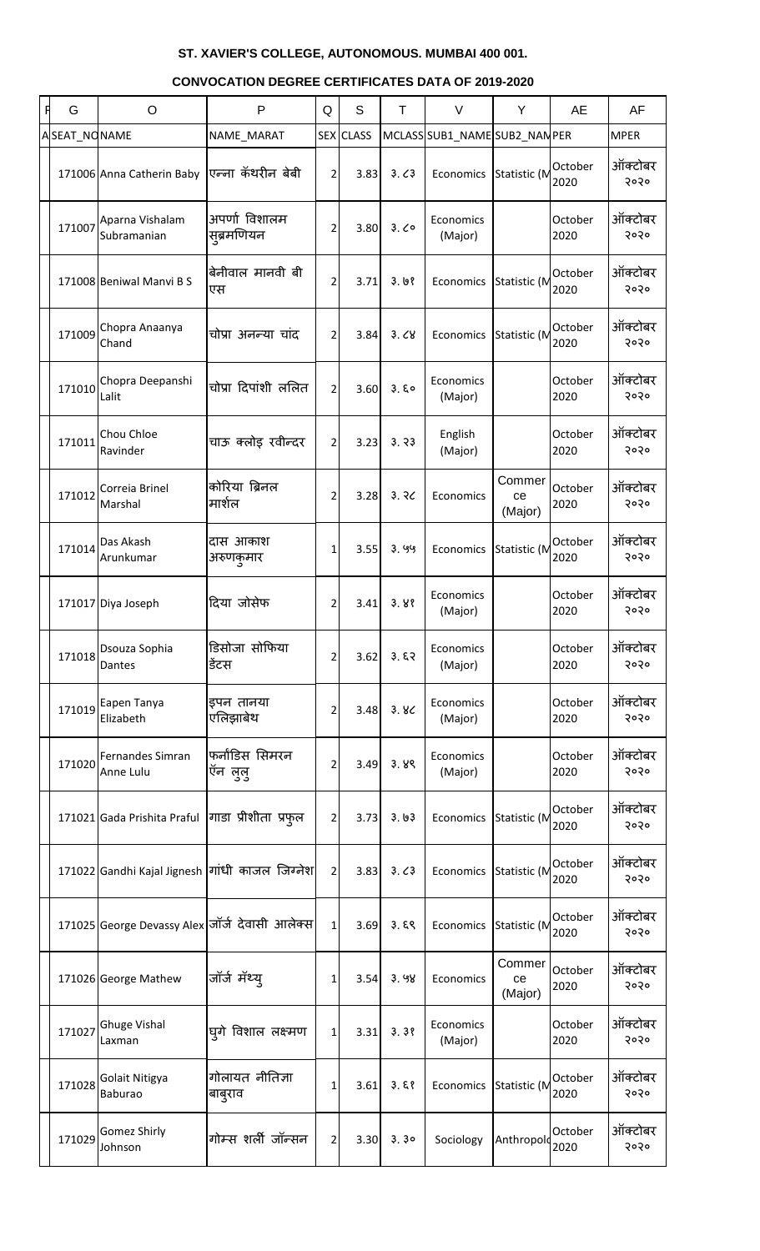| A | G            | $\circ$                        | P                                              | Q              | S                | T             | $\vee$                        | Y                       | AE              | AF              |
|---|--------------|--------------------------------|------------------------------------------------|----------------|------------------|---------------|-------------------------------|-------------------------|-----------------|-----------------|
|   | ASEAT_NONAME |                                | NAME_MARAT                                     |                | <b>SEX CLASS</b> |               | MCLASS SUB1_NAME SUB2_NAN PER |                         |                 | <b>MPER</b>     |
|   |              | 171006 Anna Catherin Baby      | एन्ना कॅथरीन बेबी                              | $\overline{2}$ | 3.83             | 3.63          | Economics                     | Statistic (M            | October<br>2020 | ऑक्टोबर<br>२०२० |
|   | 171007       | Aparna Vishalam<br>Subramanian | अपर्णा विशालम<br>सूब्रमणियन                    | $\overline{2}$ | 3.80             | 3.00          | Economics<br>(Major)          |                         | October<br>2020 | ऑक्टोबर<br>२०२० |
|   |              | 171008 Beniwal Manvi B S       | बेनीवाल मानवी बी<br>एस                         | $\overline{2}$ | 3.71             | 3.68          | Economics                     | Statistic (M            | October<br>2020 | ऑक्टोबर<br>२०२० |
|   | 171009       | Chopra Anaanya<br>Chand        | चोप्रा अनन्या चांद                             | 2              | 3.84             | 3.68          | Economics                     | Statistic (M            | October<br>2020 | ऑक्टोबर<br>२०२० |
|   | 171010       | Chopra Deepanshi<br>Lalit      | चोप्रा दिपांशी ललित                            | $\overline{2}$ | 3.60             | 3.50          | Economics<br>(Major)          |                         | October<br>2020 | ऑक्टोबर<br>२०२० |
|   | 171011       | Chou Chloe<br>Ravinder         | चाऊ क्लोइ रवीन्दर                              | $\overline{2}$ | 3.23             | 3.33          | English<br>(Major)            |                         | October<br>2020 | ऑक्टोबर<br>२०२० |
|   | 171012       | Correia Brinel<br>Marshal      | कोरिया ब्रिनल<br>मार्शल                        | 2              | 3.28             | 3.30          | Economics                     | Commer<br>ce<br>(Major) | October<br>2020 | ऑक्टोबर<br>२०२० |
|   | 171014       | Das Akash<br>Arunkumar         | दास आकाश<br>अरुणकुमार                          | 1              | 3.55             | 3.99          | Economics                     | Statistic (M            | October<br>2020 | ऑक्टोबर<br>२०२० |
|   |              | 171017 Diya Joseph             | दिया जोसेफ                                     | 2              | 3.41             | 3.88          | Economics<br>(Major)          |                         | October<br>2020 | ऑक्टोबर<br>२०२० |
|   | 171018       | Dsouza Sophia<br>Dantes        | डिसोजा सोफिया<br>डेंटस                         | 2              | 3.62             | 3.57          | Economics<br>(Major)          |                         | October<br>2020 | ऑक्टोबर<br>२०२० |
|   | 171019       | Eapen Tanya<br>Elizabeth       | इपन तानया<br>एलिझाबेथ                          | 2              | 3.48             | 3.8<          | Economics<br>(Major)          |                         | October<br>2020 | ऑक्टोबर<br>२०२० |
|   | 171020       | Fernandes Simran<br>Anne Lulu  | फर्नांडिस सिमरन<br>ऍन लुलु                     | 2              | 3.49             | 3.89          | Economics<br>(Major)          |                         | October<br>2020 | ऑक्टोबर<br>२०२० |
|   |              | 171021 Gada Prishita Praful    | गाडा प्रीशीता प्रफुल                           | 2              | 3.73             | 3.63          | Economics                     | Statistic (M            | October<br>2020 | ऑक्टोबर<br>२०२० |
|   |              |                                | 171022 Gandhi Kajal Jignesh गांधी काजल जिग्नेश | 2              | 3.83             | 3.63          | Economics                     | Statistic (M            | October<br>2020 | ऑक्टोबर<br>२०२० |
|   |              |                                | 171025 George Devassy Alex जॉर्ज देवासी आलेक्स | 1              | 3.69             | 3.59          | Economics                     | Statistic (M            | October<br>2020 | ऑक्टोबर<br>२०२० |
|   |              | 171026 George Mathew           | जॉर्ज मॅथ्य्                                   | 1              | 3.54             | 3.98          | Economics                     | Commer<br>ce<br>(Major) | October<br>2020 | ऑक्टोबर<br>२०२० |
|   | 171027       | <b>Ghuge Vishal</b><br>Laxman  | घूगे विशाल लक्ष्मण                             | 1              | 3.31             | 3.38          | Economics<br>(Major)          |                         | October<br>2020 | ऑक्टोबर<br>२०२० |
|   | 171028       | Golait Nitigya<br>Baburao      | गोलायत नीतिज्ञा<br>बाबुराव                     | 1              | 3.61             | 3.58          | Economics Statistic (M        |                         | October<br>2020 | ऑक्टोबर<br>२०२० |
|   | 171029       | Gomez Shirly<br>Johnson        | गोम्स शर्ली जॉन्सन                             | $\overline{2}$ |                  | $3.30$ $3.30$ | Sociology                     | Anthropolo              | October<br>2020 | ऑक्टोबर<br>5050 |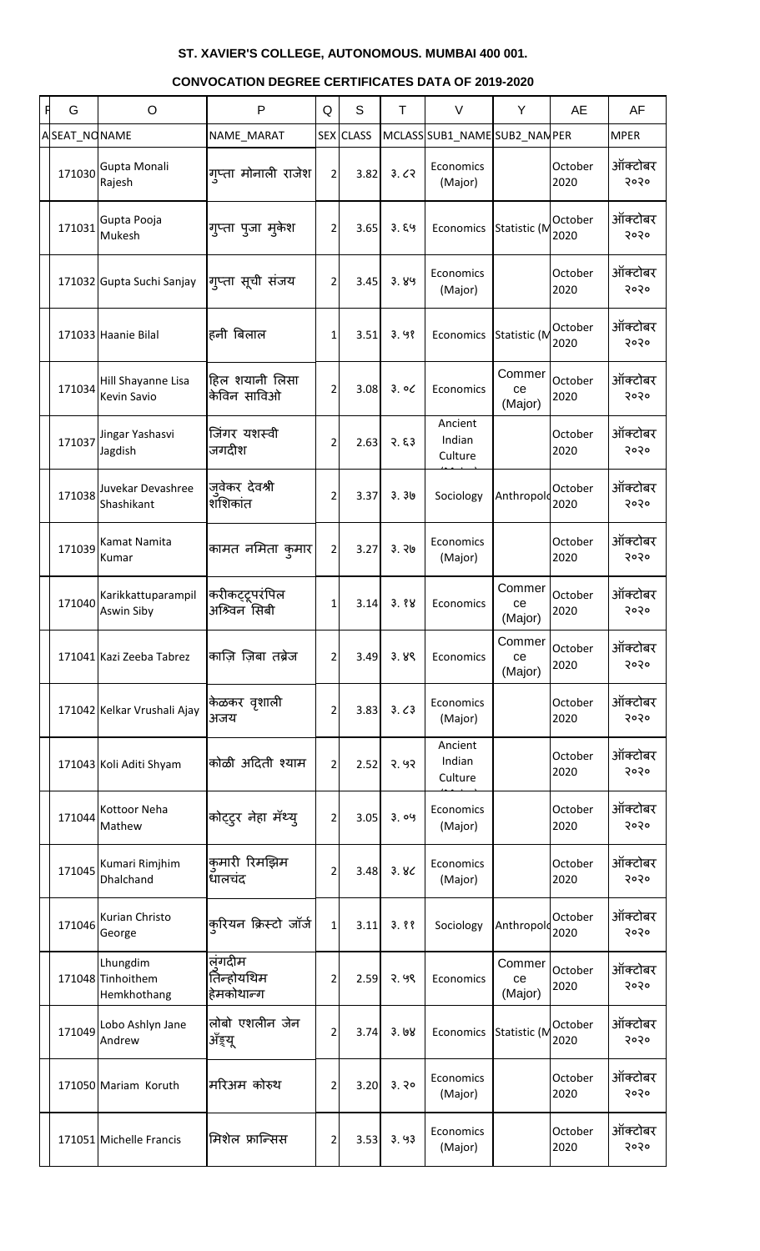| G            | O                                            | $\mathsf{P}$                       | Q              | S                | T     | $\vee$                       | Y                         | AE              | AF              |
|--------------|----------------------------------------------|------------------------------------|----------------|------------------|-------|------------------------------|---------------------------|-----------------|-----------------|
| ASEAT_NONAME |                                              | NAME_MARAT                         |                | <b>SEX</b> CLASS |       | MCLASSSSUB1_NAMESUB2_NANPER  |                           |                 | <b>MPER</b>     |
| 171030       | Gupta Monali<br>Rajesh                       | गुप्ता मोनाली राजेश                | $\overline{2}$ | 3.82             | 3.62  | Economics<br>(Major)         |                           | October<br>2020 | ऑक्टोबर<br>२०२० |
| 171031       | Gupta Pooja<br>Mukesh                        | गुप्ता पुजा मुकेश                  | 2 <sup>1</sup> | 3.65             | 3.89  | Economics                    | Statistic (M              | October<br>2020 | ऑक्टोबर<br>२०२० |
|              | 171032 Gupta Suchi Sanjay                    | गुप्ता सूची संजय                   | $\overline{2}$ | 3.45             | 3.89  | Economics<br>(Major)         |                           | October<br>2020 | ऑक्टोबर<br>२०२० |
|              | 171033 Haanie Bilal                          | हनी बिलाल                          | 1              | 3.51             | 3.98  | Economics                    | Statistic (M              | October<br>2020 | ऑक्टोबर<br>२०२० |
| 171034       | Hill Shayanne Lisa<br>Kevin Savio            | हिल शयानी लिसा<br>केविन साविओ      | $\overline{2}$ | 3.08             | 3.00  | Economics                    | Commer<br>ce<br>(Major)   | October<br>2020 | ऑक्टोबर<br>२०२० |
| 171037       | Jingar Yashasvi<br>Jagdish                   | जिंगर यशस्वी<br>जगदीश              | $\overline{2}$ | 2.63             | 3.53  | Ancient<br>Indian<br>Culture |                           | October<br>2020 | ऑक्टोबर<br>२०२० |
| 171038       | Juvekar Devashree<br>Shashikant              | जुवेकर देवश्री<br>शशिकांत          | $\overline{2}$ | 3.37             | 3.36  | Sociology                    | Anthropold                | October<br>2020 | ऑक्टोबर<br>२०२० |
| 171039       | Kamat Namita<br>Kumar                        | कामत नमिता कुमार                   | $\overline{2}$ | 3.27             | 3.76  | Economics<br>(Major)         |                           | October<br>2020 | ऑक्टोबर<br>२०२० |
| 171040       | Karikkattuparampil<br>Aswin Siby             | करीकट्टूपरंपिल<br>अश्विन सिबी      | 1              | 3.14             | 3.88  | Economics                    | Commer  <br>ce<br>(Major) | October<br>2020 | ऑक्टोबर<br>२०२० |
|              | 171041 Kazi Zeeba Tabrez                     | काज़ि ज़िबा तब्रेज                 | $\overline{2}$ | 3.49             | 3.89  | Economics                    | Commer<br>ce<br>(Major)   | October<br>2020 | ऑक्टोबर<br>२०२० |
|              | 171042 Kelkar Vrushali Ajay                  | केळकर वृशाली<br>अजय                | 2              | 3.83             | 3.63  | Economics<br>(Major)         |                           | October<br>2020 | ऑक्टोबर<br>२०२० |
|              | 171043 Koli Aditi Shyam                      | कोळी अदिती श्याम                   | $\overline{2}$ | 2.52             | २. ५२ | Ancient<br>Indian<br>Culture |                           | October<br>2020 | ऑक्टोबर<br>२०२० |
| 171044       | Kottoor Neha<br>Mathew                       | कोट्ट्र नेहा मॅथ्य्                | $\overline{2}$ | 3.05             | 3.09  | Economics<br>(Major)         |                           | October<br>2020 | ऑक्टोबर<br>२०२० |
| 171045       | Kumari Rimjhim<br>Dhalchand                  | कुमारी रिमझिम<br>धालचंद            | 2              | 3.48             | 3.8<  | Economics<br>(Major)         |                           | October<br>2020 | ऑक्टोबर<br>२०२० |
| 171046       | Kurian Christo<br>George                     | कुरियन क्रिस्टो जॉर्ज              | $1\vert$       | 3.11             | 3.88  | Sociology                    | Anthropold                | October<br>2020 | ऑक्टोबर<br>२०२० |
|              | Lhungdim<br>171048 Tinhoithem<br>Hemkhothang | लंगदीम<br>तिन्होयथिम<br>हेमकोथान्ग | 2              | 2.59             | २. ५९ | Economics                    | Commer<br>ce<br>(Major)   | October<br>2020 | ऑक्टोबर<br>२०२० |
| 171049       | Lobo Ashlyn Jane<br>Andrew                   | लोबो एशलीन जेन<br>ॲड़य़ू           | $\overline{2}$ | 3.74             | 3.68  | Economics                    | Statistic (M              | October<br>2020 | ऑक्टोबर<br>२०२० |
|              | 171050 Mariam Koruth                         | मरिअम कोरुथ                        | $\overline{2}$ | 3.20             | 3.30  | Economics<br>(Major)         |                           | October<br>2020 | ऑक्टोबर<br>२०२० |
|              | 171051 Michelle Francis                      | मिशेल फ्रान्सिस                    | $\overline{2}$ | 3.53             | 3.93  | Economics<br>(Major)         |                           | October<br>2020 | ऑक्टोबर<br>२०२० |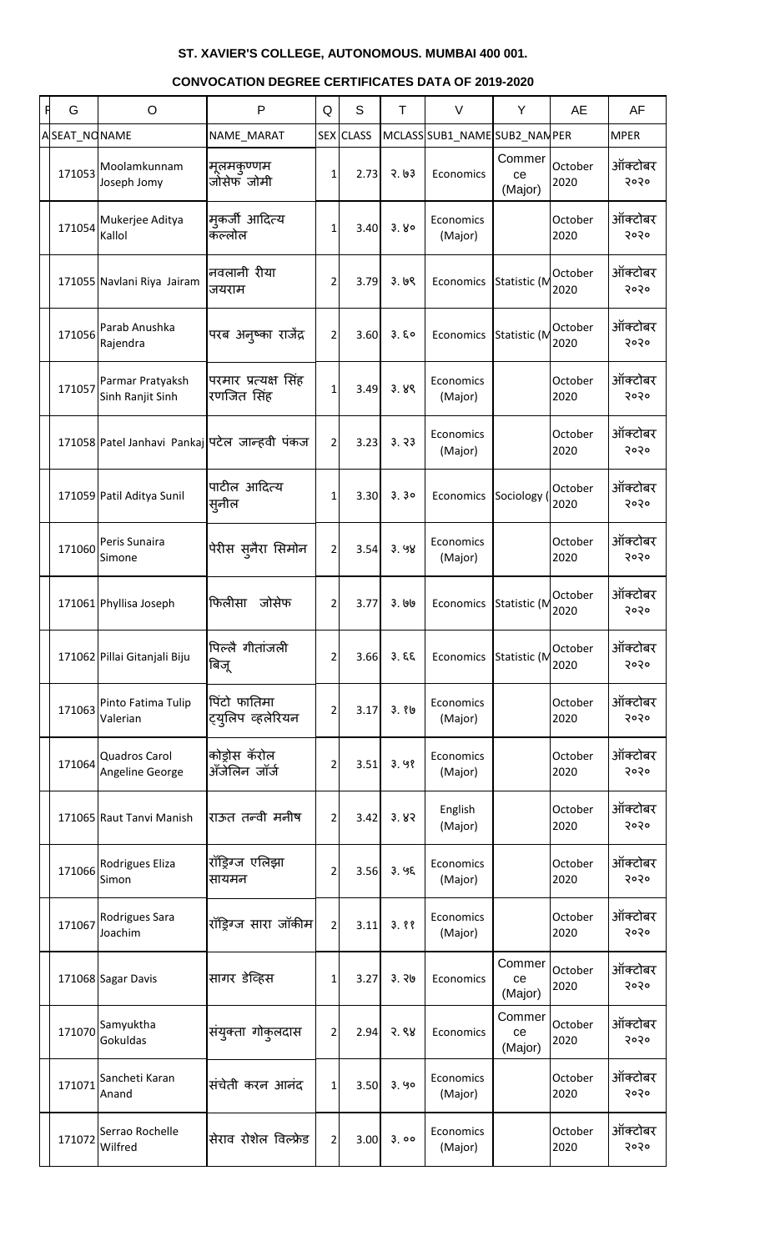| G            | O                                             | P                                  | Q              | S                | T       | $\vee$                        | Y                       | AE              | AF              |
|--------------|-----------------------------------------------|------------------------------------|----------------|------------------|---------|-------------------------------|-------------------------|-----------------|-----------------|
| ASEAT_NONAME |                                               | NAME_MARAT                         |                | <b>SEX CLASS</b> |         | MCLASS SUB1_NAME SUB2_NAN PER |                         |                 | <b>MPER</b>     |
| 171053       | Moolamkunnam<br>Joseph Jomy                   | मलमकण्णम<br>जोसेफॅ जोमी            | 1              | 2.73             | 3.63    | Economics                     | Commer<br>ce<br>(Major) | October<br>2020 | ऑक्टोबर<br>२०२० |
| 171054       | Mukerjee Aditya<br>Kallol                     | मुकर्जी आदित्य<br>कॅल्लोल          | $1\vert$       | 3.40             | 3.80    | Economics<br>(Major)          |                         | October<br>2020 | ऑक्टोबर<br>२०२० |
|              | 171055 Navlani Riya Jairam                    | नवलानी रीया<br>जयराम               | $\overline{2}$ | 3.79             | 3.69    | Economics                     | Statistic (M            | October<br>2020 | ऑक्टोबर<br>२०२० |
| 171056       | Parab Anushka<br>Rajendra                     | परब अन्ष्का राजेंद्र               | $\overline{2}$ | 3.60             | 3.50    | Economics                     | Statistic (M            | October<br>2020 | ऑक्टोबर<br>२०२० |
| 171057       | Parmar Pratyaksh<br>Sinh Ranjit Sinh          | परमार प्रत्यक्ष सिंह<br>रणजित सिंह | $1\vert$       | 3.49             | 3.89    | Economics<br>(Major)          |                         | October<br>2020 | ऑक्टोबर<br>२०२० |
|              | 171058 Patel Janhavi Pankaj पटेल जान्हवी पंकज |                                    | $\overline{2}$ | 3.23             | 3.73    | Economics<br>(Major)          |                         | October<br>2020 | ऑक्टोबर<br>२०२० |
|              | 171059 Patil Aditya Sunil                     | पाटील आदित्य<br>स्नील              | $1\vert$       | 3.30             | 3.30    | Economics                     | Sociology (             | October<br>2020 | ऑक्टोबर<br>२०२० |
| 171060       | Peris Sunaira<br>Simone                       | पेरीस स्नैरा सिमोन                 | $\overline{2}$ | 3.54             | 3.98    | Economics<br>(Major)          |                         | October<br>2020 | ऑक्टोबर<br>२०२० |
|              | 171061 Phyllisa Joseph                        | फिलीसा<br>जोसेफ                    | $\overline{2}$ | 3.77             | 3. 1919 | Economics                     | Statistic (M            | October<br>2020 | ऑक्टोबर<br>२०२० |
|              | 171062 Pillai Gitanjali Biju                  | पिल्लै गीतांजली<br>बिजू            | $\overline{2}$ | 3.66             | 3.55    | Economics                     | Statistic (M            | October<br>2020 | ऑक्टोबर<br>२०२० |
| 171063       | Pinto Fatima Tulip<br>Valerian                | पिंटो फातिमा<br>ट्युलिप व्हलेरियन  | 2              | 3.17             | 3.86    | Economics<br>(Major)          |                         | October<br>2020 | ऑक्टोबर<br>२०२० |
| 171064       | Quadros Carol<br>Angeline George              | कोड्रोस कॅरोल<br>ॲंजेलिन जॉर्ज     | 2              | 3.51             | 3.98    | Economics<br>(Major)          |                         | October<br>2020 | ऑक्टोबर<br>२०२० |
|              | 171065 Raut Tanvi Manish                      | राऊत तन्वी मनीष                    | $\overline{2}$ | 3.42             | 3.83    | English<br>(Major)            |                         | October<br>2020 | ऑक्टोबर<br>२०२० |
| 171066       | Rodrigues Eliza<br>Simon                      | रॉड्रिंग्ज एलिझा<br>सायमन          | 2              | 3.56             | 3.95    | Economics<br>(Major)          |                         | October<br>2020 | ऑक्टोबर<br>२०२० |
| 171067       | Rodrigues Sara<br>Joachim                     | रॉड्रिंग्ज सारा जॉकीम              | $\overline{2}$ | 3.11             | 3.88    | Economics<br>(Major)          |                         | October<br>2020 | ऑक्टोबर<br>२०२० |
|              | 171068 Sagar Davis                            | सागर डेव्हिस                       | 1              | 3.27             | 3.76    | Economics                     | Commer<br>ce<br>(Major) | October<br>2020 | ऑक्टोबर<br>२०२० |
| 171070       | Samyuktha<br>Gokuldas                         | संयुक्ता गोकुलदास                  | $\overline{2}$ | 2.94             | 3.88    | Economics                     | Commer<br>ce<br>(Major) | October<br>2020 | ऑक्टोबर<br>२०२० |
| 171071       | Sancheti Karan<br>Anand                       | संचेती करन आनंद                    | 1              | 3.50             | 3.90    | Economics<br>(Major)          |                         | October<br>2020 | ऑक्टोबर<br>२०२० |
| 171072       | Serrao Rochelle<br>Wilfred                    | सेराव रोशेल विल्फ्रेड              | $\overline{2}$ | 3.00             | 3.00    | Economics<br>(Major)          |                         | October<br>2020 | ऑक्टोबर<br>२०२० |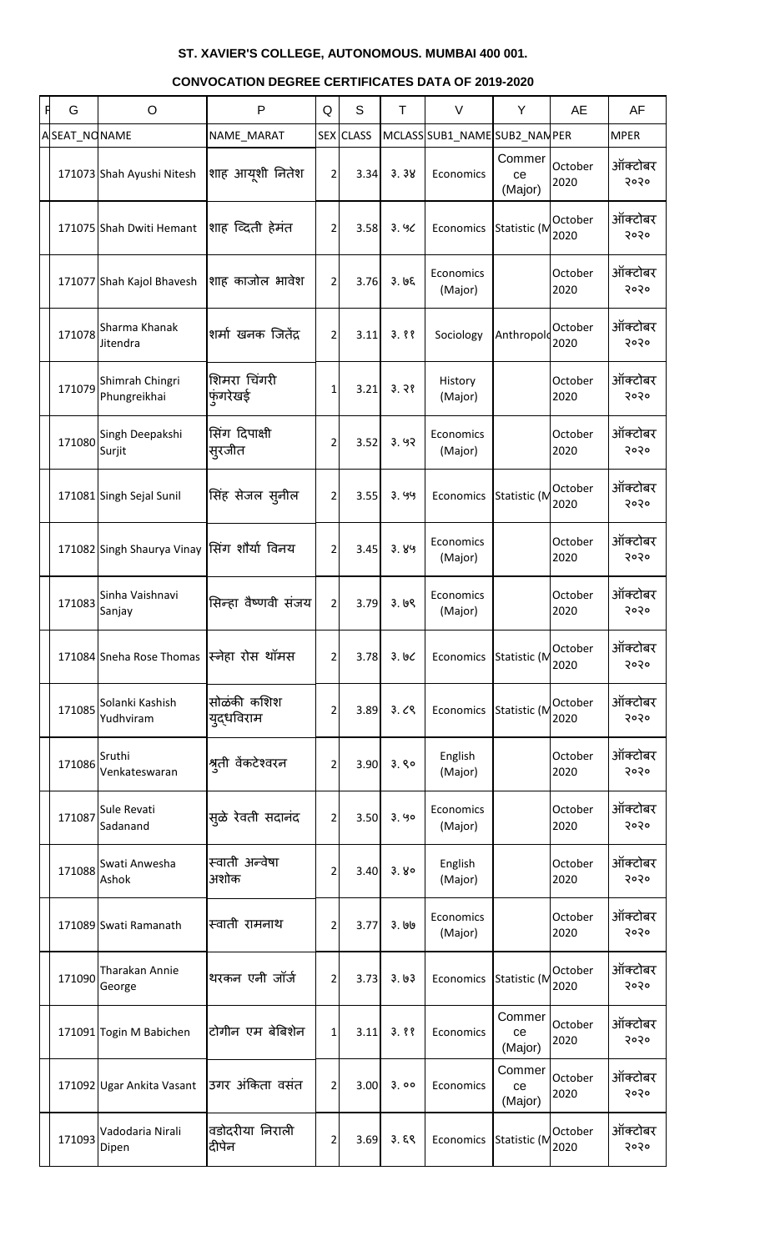| A | G            | $\circ$                                     | P                         | Q              | S                | T     | $\vee$                        | Y                       | <b>AE</b>       | AF              |
|---|--------------|---------------------------------------------|---------------------------|----------------|------------------|-------|-------------------------------|-------------------------|-----------------|-----------------|
|   | ASEAT_NONAME |                                             | NAME_MARAT                |                | <b>SEX CLASS</b> |       | MCLASS SUB1_NAME SUB2_NAN PER |                         |                 | <b>MPER</b>     |
|   |              | 171073 Shah Ayushi Nitesh                   | शाह आयूशी नितेश           | $\overline{2}$ | 3.34             | 3.38  | Economics                     | Commer<br>ce<br>(Major) | October<br>2020 | ऑक्टोबर<br>२०२० |
|   |              | 171075 Shah Dwiti Hemant                    | शाह व्दिती हेमंत          | $\overline{2}$ | 3.58             | 3.90  | Economics                     | Statistic (M            | October<br>2020 | ऑक्टोबर<br>२०२० |
|   |              | 171077 Shah Kajol Bhavesh                   | शाह काजोल भावेश           | $\overline{2}$ | 3.76             | 3.95  | Economics<br>(Major)          |                         | October<br>2020 | ऑक्टोबर<br>२०२० |
|   | 171078       | Sharma Khanak<br>Jitendra                   | शर्मा खनक जितेंद्र        | 2              | 3.11             | 3.88  | Sociology                     | Anthropold              | October<br>2020 | ऑक्टोबर<br>२०२० |
|   | 171079       | Shimrah Chingri<br>Phungreikhai             | शिमरा चिंगरी<br>फुंगरेखई  | 1              | 3.21             | 3.38  | History<br>(Major)            |                         | October<br>2020 | ऑक्टोबर<br>२०२० |
|   | 171080       | Singh Deepakshi<br>Surjit                   | सिंग दिपाक्षी<br>स्रजीत   | 2              | 3.52             | 3.92  | Economics<br>(Major)          |                         | October<br>2020 | ऑक्टोबर<br>२०२० |
|   |              | 171081 Singh Sejal Sunil                    | सिंह सेजल सुनील           | $\overline{2}$ | 3.55             | 3.99  | Economics                     | Statistic (M            | October<br>2020 | ऑक्टोबर<br>२०२० |
|   |              | 171082 Singh Shaurya Vinay सिंग शौर्या विनय |                           | $\overline{2}$ | 3.45             | 3.89  | Economics<br>(Major)          |                         | October<br>2020 | ऑक्टोबर<br>२०२० |
|   | 171083       | Sinha Vaishnavi<br>Sanjay                   | सिन्हा वैष्णवी संजय       | $\overline{2}$ | 3.79             | 3.69  | Economics<br>(Major)          |                         | October<br>2020 | ऑक्टोबर<br>२०२० |
|   |              | 171084 Sneha Rose Thomas स्निहा रोस थॉमस    |                           | 2              | 3.78             | 3.66  | Economics                     | Statistic (M            | October<br>2020 | ऑक्टोबर<br>२०२० |
|   | 171085       | Solanki Kashish<br>Yudhviram                | सोळंकी कशिश<br>युद्धविराम | 2              | 3.89             | 3.09  | Economics                     | Statistic (M            | October<br>2020 | ऑक्टोबर<br>२०२० |
|   | 171086       | Sruthi<br>Venkateswaran                     | श्रुती वेंकटेश्वरन        | 2              | 3.90             | 3.80  | English<br>(Major)            |                         | October<br>2020 | ऑक्टोबर<br>२०२० |
|   | 171087       | Sule Revati<br>Sadanand                     | सुळे रेवती सदानंद         | 2              | 3.50             | 3.90  | Economics<br>(Major)          |                         | October<br>2020 | ऑक्टोबर<br>२०२० |
|   | 171088       | Swati Anwesha<br>Ashok                      | स्वाती अन्वेषा<br>अशोक    | 2              | 3.40             | 3.80  | English<br>(Major)            |                         | October<br>2020 | ऑक्टोबर<br>२०२० |
|   |              | 171089 Swati Ramanath                       | स्वाती रामनाथ             | 2              | 3.77             | 3.190 | Economics<br>(Major)          |                         | October<br>2020 | ऑक्टोबर<br>२०२० |
|   | 171090       | Tharakan Annie<br>George                    | थरकन एनी जॉर्ज            | 2              | 3.73             | 3.63  | Economics                     | Statistic (M            | October<br>2020 | ऑक्टोबर<br>२०२० |
|   |              | 171091 Togin M Babichen                     | टोगीन एम बेबिशेन          | 1              | 3.11             | 3.88  | Economics                     | Commer<br>ce<br>(Major) | October<br>2020 | ऑक्टोबर<br>२०२० |
|   |              | 171092 Ugar Ankita Vasant                   | उगर अंकिता वसंत           | 2              | 3.00             | 3.00  | Economics                     | Commer<br>ce<br>(Major) | October<br>2020 | ऑक्टोबर<br>२०२० |
|   | 171093       | Vadodaria Nirali<br>Dipen                   | वडोदरीया निराली<br>दीपेन  | $\overline{2}$ | 3.69             | 3.59  | Economics                     | Statistic (M            | October<br>2020 | ऑक्टोबर<br>5050 |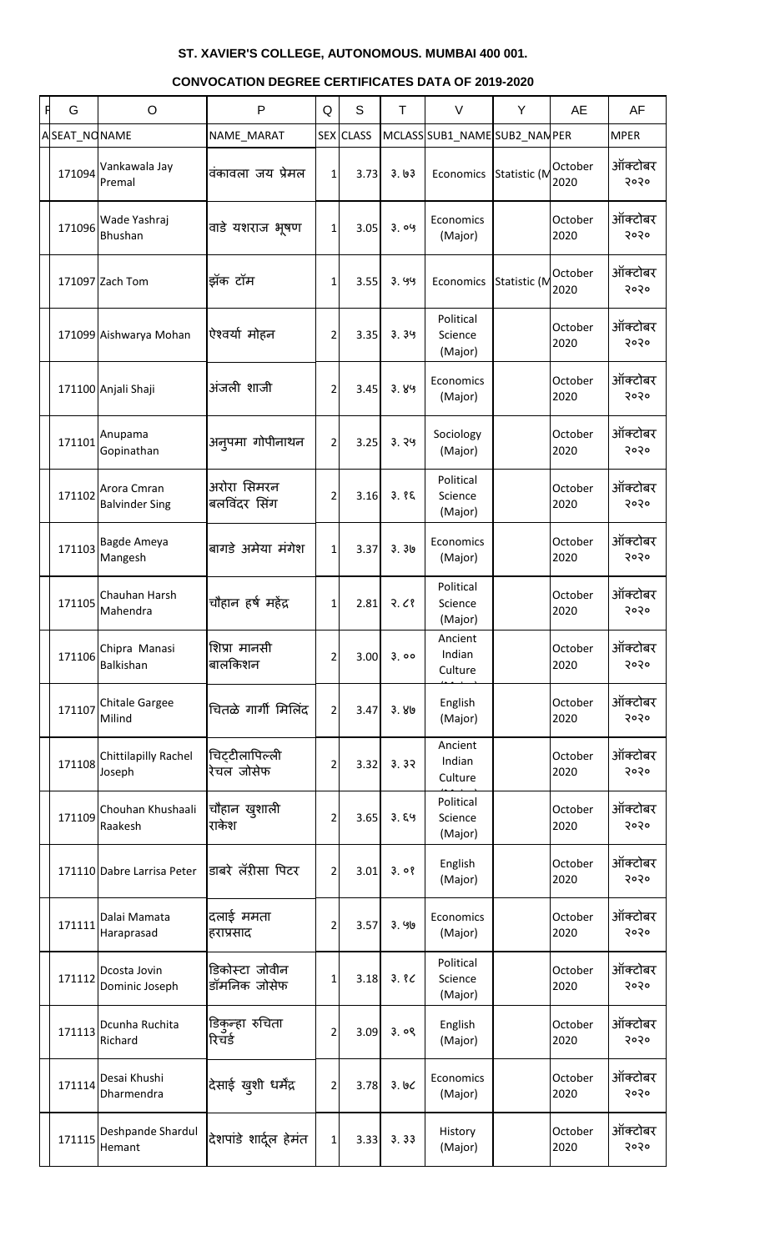| G            | O                                    | $\mathsf{P}$                   | Q | S         | T     | $\vee$                          | Y            | <b>AE</b>       | AF              |
|--------------|--------------------------------------|--------------------------------|---|-----------|-------|---------------------------------|--------------|-----------------|-----------------|
| ASEAT_NONAME |                                      | NAME_MARAT                     |   | SEX CLASS |       | MCLASS SUB1 NAME SUB2 NAMPER    |              |                 | <b>MPER</b>     |
| 171094       | Vankawala Jay<br>Premal              | वंकावला जय प्रेमल              | 1 | 3.73      | 3.03  | Economics                       | Statistic (M | October<br>2020 | ऑक्टोबर<br>२०२० |
| 171096       | Wade Yashraj<br>Bhushan              | वाडे यशराज भूषण                | 1 | 3.05      | 3.09  | Economics<br>(Major)            |              | October<br>2020 | ऑक्टोबर<br>२०२० |
|              | 171097 Zach Tom                      | झॅक टॉम                        | 1 | 3.55      | 3.99  | Economics                       | Statistic (M | October<br>2020 | ऑक्टोबर<br>२०२० |
|              | 171099 Aishwarya Mohan               | ऐश्वर्या मोहन                  | 2 | 3.35      | 3.39  | Political<br>Science<br>(Major) |              | October<br>2020 | ऑक्टोबर<br>२०२० |
|              | 171100 Anjali Shaji                  | अंजली शाजी                     | 2 | 3.45      | 3.89  | Economics<br>(Major)            |              | October<br>2020 | ऑक्टोबर<br>२०२० |
| 171101       | Anupama<br>Gopinathan                | अनुपमा गोपीनाथन                | 2 | 3.25      | 3.79  | Sociology<br>(Major)            |              | October<br>2020 | ऑक्टोबर<br>२०२० |
| 171102       | Arora Cmran<br><b>Balvinder Sing</b> | अरोरा सिमरन<br>बलविंदर सिंग    | 2 | 3.16      | 3.85  | Political<br>Science<br>(Major) |              | October<br>2020 | ऑक्टोबर<br>२०२० |
| 171103       | Bagde Ameya<br>Mangesh               | बागडे अमेया मंगेश              | 1 | 3.37      | 3.30  | Economics<br>(Major)            |              | October<br>2020 | ऑक्टोबर<br>२०२० |
| 171105       | Chauhan Harsh<br>Mahendra            | चौहान हर्ष महेंद्र             | 1 | 2.81      | 2.68  | Political<br>Science<br>(Major) |              | October<br>2020 | ऑक्टोबर<br>२०२० |
| 171106       | Chipra Manasi<br>Balkishan           | शिप्रा मानसी<br>बालकिशन        | 2 | 3.00      | 3.00  | Ancient<br>Indian<br>Culture    |              | October<br>2020 | ऑक्टोबर<br>२०२० |
| 171107       | Chitale Gargee<br>Milind             | चितळे गार्गी मिलिंद            | 2 | 3.47      | 3.80  | English<br>(Major)              |              | October<br>2020 | ऑक्टोबर<br>२०२० |
| 171108       | Chittilapilly Rachel<br>Joseph       | चिट्टीलापिल्ली<br>रेचल जोसेफ   | 2 | 3.32      | 3.32  | Ancient<br>Indian<br>Culture    |              | October<br>2020 | ऑक्टोबर<br>२०२० |
| 171109       | Chouhan Khushaali<br>Raakesh         | चौहान खुशाली<br>राकेश          | 2 | 3.65      | 3.89  | Political<br>Science<br>(Major) |              | October<br>2020 | ऑक्टोबर<br>२०२० |
|              | 171110 Dabre Larrisa Peter           | डाबरे लॅरीसा पिटर              | 2 | 3.01      | 3.08  | English<br>(Major)              |              | October<br>2020 | ऑक्टोबर<br>२०२० |
| 171111       | Dalai Mamata<br>Haraprasad           | दलाई ममता<br>हराप्रसाद         | 2 | 3.57      | 3.96  | Economics<br>(Major)            |              | October<br>2020 | ऑक्टोबर<br>२०२० |
| 171112       | Dcosta Jovin<br>Dominic Joseph       | डिकोस्टा जोवीन<br>डॉमनिक जोसेफ | 1 | 3.18      | 3.8<  | Political<br>Science<br>(Major) |              | October<br>2020 | ऑक्टोबर<br>२०२० |
| 171113       | Dcunha Ruchita<br>Richard            | डिकुन्हा रुचिता<br>रिचर्ड      | 2 | 3.09      | 3.09  | English<br>(Major)              |              | October<br>2020 | ऑक्टोबर<br>२०२० |
| 171114       | Desai Khushi<br>Dharmendra           | दिसाई खुशी धर्मेंद्र           | 2 | 3.78      | 3. ७८ | Economics<br>(Major)            |              | October<br>2020 | ऑक्टोबर<br>२०२० |
| 171115       | Deshpande Shardul<br>Hemant          | देशपांडे शार्दूल हेमंत         | 1 | 3.33      | 3.33  | History<br>(Major)              |              | October<br>2020 | ऑक्टोबर<br>२०२० |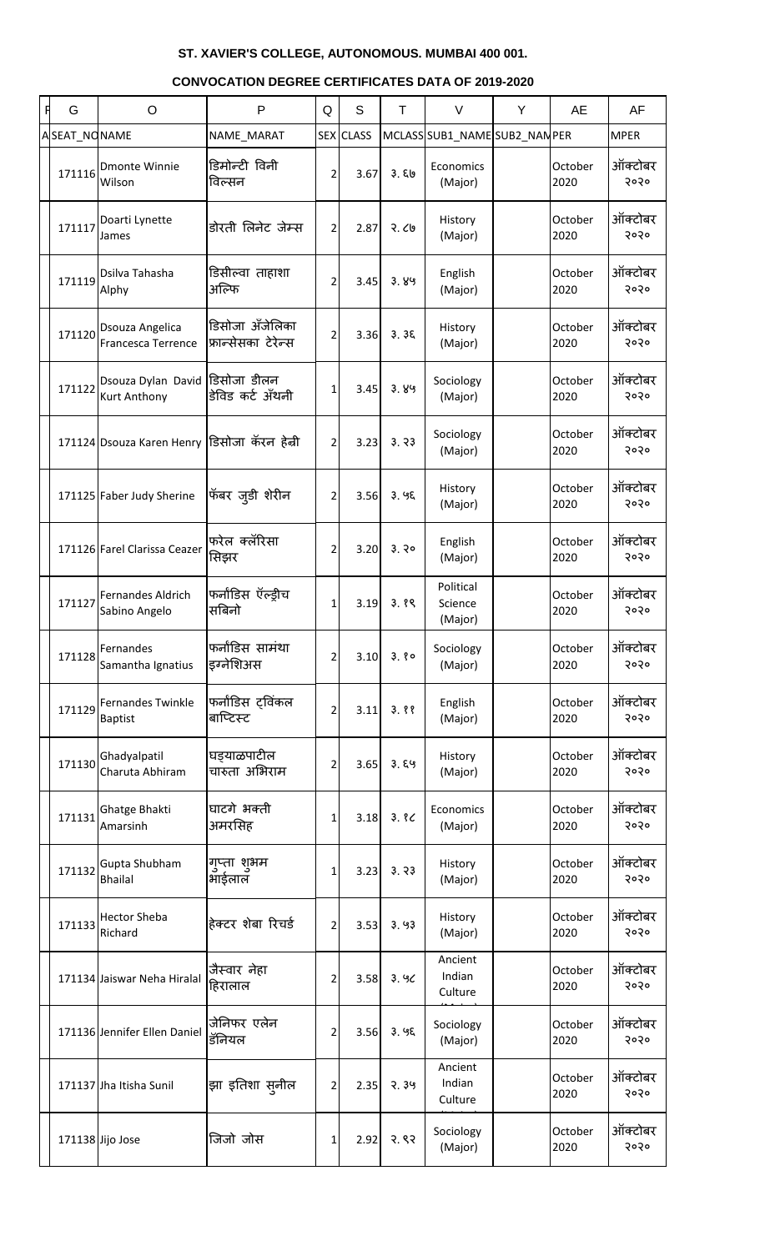| <b>CONVOCATION DEGREE CERTIFICATES DATA OF 2019-2020</b> |
|----------------------------------------------------------|
|----------------------------------------------------------|

| G            | $\circ$                                                | P                                      | Q              | S         | T    | $\vee$                          | Y | AE              | AF              |
|--------------|--------------------------------------------------------|----------------------------------------|----------------|-----------|------|---------------------------------|---|-----------------|-----------------|
| ASEAT_NONAME |                                                        | NAME_MARAT                             |                | SEX CLASS |      | MCLASS SUB1_NAME SUB2_NAN PER   |   |                 | <b>MPER</b>     |
| 171116       | <b>Dmonte Winnie</b><br>Wilson                         | डिमोन्टी विनी<br>विल्सन                | 2              | 3.67      | 3.50 | Economics<br>(Major)            |   | October<br>2020 | ऑक्टोबर<br>२०२० |
| 171117       | Doarti Lynette<br>James                                | डोरती लिनेट जेम्स                      | $\overline{2}$ | 2.87      | 9.69 | History<br>(Major)              |   | October<br>2020 | ऑक्टोबर<br>२०२० |
| 171119       | Dsilva Tahasha<br>Alphy                                | डिसील्वा ताहाशा<br>अल्फि               | 2              | 3.45      | 3.89 | English<br>(Major)              |   | October<br>2020 | ऑक्टोबर<br>२०२० |
| 171120       | Dsouza Angelica<br><b>Francesca Terrence</b>           | डिसोजा ॲंजेलिका<br>फ्रान्सेसका टेरेन्स | 2              | 3.36      | 3.36 | History<br>(Major)              |   | October<br>2020 | ऑक्टोबर<br>२०२० |
| 171122       | Dsouza Dylan David  डिसोजा डीलन<br><b>Kurt Anthony</b> | डेविड कर्ट अँथनी                       | 1              | 3.45      | 3.89 | Sociology<br>(Major)            |   | October<br>2020 | ऑक्टोबर<br>२०२० |
|              | 171124 Dsouza Karen Henry  डिसोजा कॅरन हेन्री          |                                        | $\overline{2}$ | 3.23      | 3.33 | Sociology<br>(Major)            |   | October<br>2020 | ऑक्टोबर<br>२०२० |
|              | 171125 Faber Judy Sherine                              | फॅबर जुड़ी शेरीन                       | $\overline{2}$ | 3.56      | 3.95 | History<br>(Major)              |   | October<br>2020 | ऑक्टोबर<br>२०२० |
|              | 171126 Farel Clarissa Ceazer                           | फरेल क्लॅरिसा<br>सिझर                  | 2              | 3.20      | 3.30 | English<br>(Major)              |   | October<br>2020 | ऑक्टोबर<br>२०२० |
| 171127       | Fernandes Aldrich<br>Sabino Angelo                     | फर्नाडिस ऍल्ड्रीच<br>सिबिनो            | 1              | 3.19      | 3.89 | Political<br>Science<br>(Major) |   | October<br>2020 | ऑक्टोबर<br>२०२० |
| 171128       | Fernandes<br>Samantha Ignatius                         | फर्नांडिस सामंथा<br>इंग्नेशिअस         | 2              | 3.10      | 3.80 | Sociology<br>(Major)            |   | October<br>2020 | ऑक्टोबर<br>२०२० |
| 171129       | <b>Fernandes Twinkle</b><br><b>Baptist</b>             | फर्नांडिस ट्विंकल<br>बाप्टिस्ट         | 2              | 3.11      | 3.88 | English<br>(Major)              |   | October<br>2020 | ऑक्टोबर<br>२०२० |
| 171130       | Ghadyalpatil<br>Charuta Abhiram                        | घड़याळपाटील<br>चारुता अभिराम           | 2              | 3.65      | 3.89 | History<br>(Major)              |   | October<br>2020 | ऑक्टोबर<br>२०२० |
| 171131       | Ghatge Bhakti<br>Amarsinh                              | घाटगे भक्ती<br>अमरसिह                  | 1              | 3.18      | 3.8C | Economics<br>(Major)            |   | October<br>2020 | ऑक्टोबर<br>२०२० |
| 171132       | Gupta Shubham<br><b>Bhailal</b>                        | गुप्ता शुभम<br>भाईलाल                  | 1              | 3.23      | 3.33 | History<br>(Major)              |   | October<br>2020 | ऑक्टोबर<br>२०२० |
| 171133       | <b>Hector Sheba</b><br>Richard                         | हेक्टर शेबा रिचर्ड                     | 2              | 3.53      | 3.93 | History<br>(Major)              |   | October<br>2020 | ऑक्टोबर<br>२०२० |
|              | 171134 Jaiswar Neha Hiralal                            | जैस्वार नेहा<br>हिरालाल                | 2              | 3.58      | 3.90 | Ancient<br>Indian<br>Culture    |   | October<br>2020 | ऑक्टोबर<br>२०२० |
|              | 171136 Jennifer Ellen Daniel                           | जेनिफर एलेन<br>डॅनियल                  | 2              | 3.56      | 3.95 | Sociology<br>(Major)            |   | October<br>2020 | ऑक्टोबर<br>२०२० |
|              | 171137 Jha Itisha Sunil                                | झा इतिशा स् <b>नील</b>                 | 2              | 2.35      | 2.39 | Ancient<br>Indian<br>Culture    |   | October<br>2020 | ऑक्टोबर<br>२०२० |
|              | 171138 Jijo Jose                                       | जिजो जोस                               | 1              | 2.92      | 3.83 | Sociology<br>(Major)            |   | October<br>2020 | ऑक्टोबर<br>२०२० |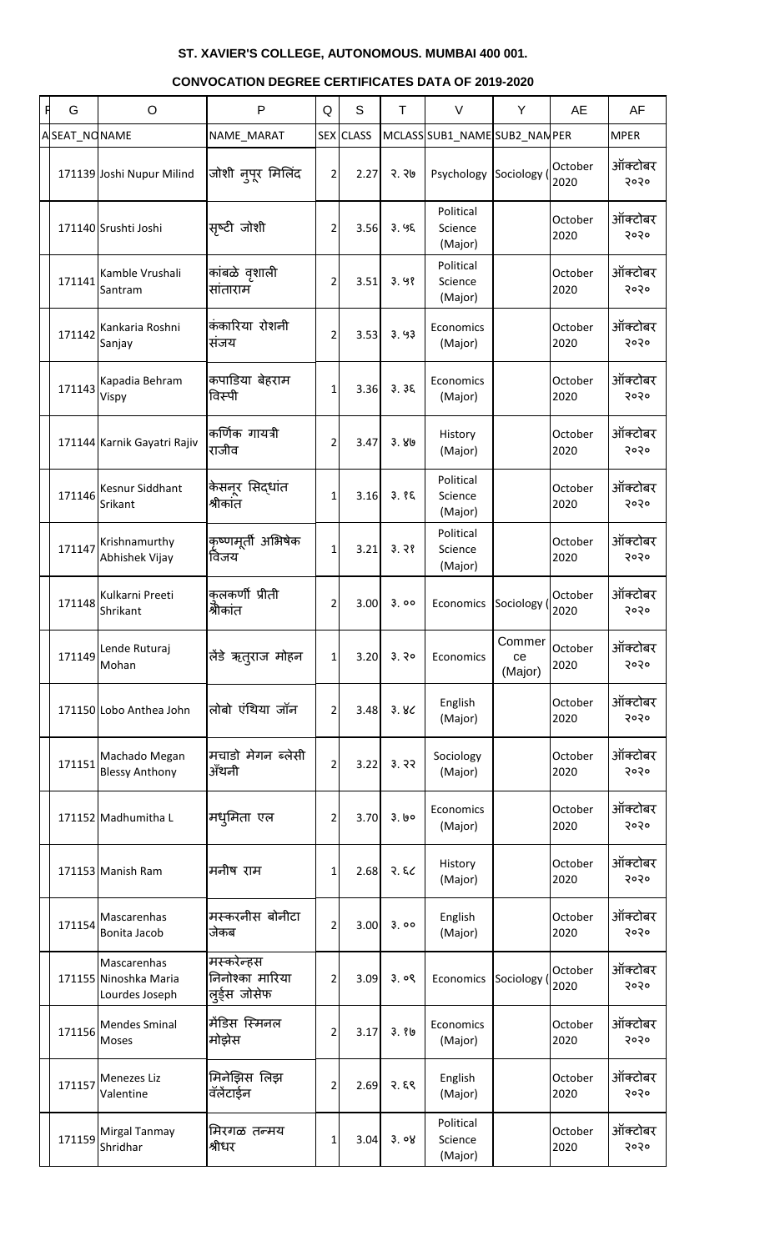| R | G            | $\circ$                                                | P                                              | Q              | S         | T     | $\vee$                          | Y                       | AE              | AF              |
|---|--------------|--------------------------------------------------------|------------------------------------------------|----------------|-----------|-------|---------------------------------|-------------------------|-----------------|-----------------|
|   | ASEAT_NONAME |                                                        | NAME_MARAT                                     |                | SEX CLASS |       | MCLASS SUB1_NAME SUB2_NAN PER   |                         |                 | <b>MPER</b>     |
|   |              | 171139 Joshi Nupur Milind                              | जोशी नुपूर मिलिंद                              | 2              | 2.27      | २. २७ | Psychology                      | Sociology               | October<br>2020 | ऑक्टोबर<br>२०२० |
|   |              | 171140 Srushti Joshi                                   | सृष्टी जोशी                                    | $\overline{2}$ | 3.56      | 3.95  | Political<br>Science<br>(Major) |                         | October<br>2020 | ऑक्टोबर<br>२०२० |
|   | 171141       | Kamble Vrushali<br>Santram                             | कांबळे वृशाली<br>सांताराम                      | $\overline{2}$ | 3.51      | 3.98  | Political<br>Science<br>(Major) |                         | October<br>2020 | ऑक्टोबर<br>२०२० |
|   | 171142       | Kankaria Roshni<br>Sanjay                              | कंकारिया रोशनी<br>संजय                         | $\overline{2}$ | 3.53      | 3.93  | Economics<br>(Major)            |                         | October<br>2020 | ऑक्टोबर<br>२०२० |
|   | 171143       | Kapadia Behram<br>Vispy                                | कपाडिया बेहराम<br>विस्पी                       | 1              | 3.36      | 3.36  | Economics<br>(Major)            |                         | October<br>2020 | ऑक्टोबर<br>२०२० |
|   |              | 171144 Karnik Gayatri Rajiv                            | कर्णिक गायत्री<br>राजीव                        | $\overline{2}$ | 3.47      | 3.80  | History<br>(Major)              |                         | October<br>2020 | ऑक्टोबर<br>२०२० |
|   | 171146       | Kesnur Siddhant<br>Srikant                             | केसनूर सिद्धांत<br>श्रीकांत                    | 1              | 3.16      | 3.85  | Political<br>Science<br>(Major) |                         | October<br>2020 | ऑक्टोबर<br>२०२० |
|   | 171147       | Krishnamurthy<br>Abhishek Vijay                        | 'कृष्णमूर्ती अभिषेक<br>विजय                    | $\mathbf{1}$   | 3.21      | 3.38  | Political<br>Science<br>(Major) |                         | October<br>2020 | ऑक्टोबर<br>२०२० |
|   | 171148       | Kulkarni Preeti<br>Shrikant                            | कलकर्णी प्रीती<br>श्रीकांत                     | 2              | 3.00      | 3.00  | Economics                       | Sociology (             | October<br>2020 | ऑक्टोबर<br>२०२० |
|   | 171149       | Lende Ruturaj<br>Mohan                                 | लेंडे ऋत्राज मोहन                              | 1              | 3.20      | 3.30  | Economics                       | Commer<br>ce<br>(Major) | October<br>2020 | ऑक्टोबर<br>२०२० |
|   |              | 171150 Lobo Anthea John                                | लोबो एंथिया जॉन                                | $\overline{2}$ | 3.48      | 3.8<  | English<br>(Major)              |                         | October<br>2020 | ऑक्टोबर<br>२०२० |
|   | 171151       | Machado Megan<br><b>Blessy Anthony</b>                 | मचाडो मेगन ब्लेसी<br>ॲथनी                      | $\overline{2}$ | 3.22      | 3.32  | Sociology<br>(Major)            |                         | October<br>2020 | ऑक्टोबर<br>२०२० |
|   |              | 171152 Madhumitha L                                    | मध्मिता एल                                     | $\overline{2}$ | 3.70      | 3. ७० | Economics<br>(Major)            |                         | October<br>2020 | ऑक्टोबर<br>२०२० |
|   |              | 171153 Manish Ram                                      | मनीष राम                                       | 1              | 2.68      | 3.82  | History<br>(Major)              |                         | October<br>2020 | ऑक्टोबर<br>२०२० |
|   | 171154       | Mascarenhas<br>Bonita Jacob                            | मस्करनीस बोनीटा<br>जेकब                        | $\overline{2}$ | 3.00      | 3.00  | English<br>(Major)              |                         | October<br>2020 | ऑक्टोबर<br>२०२० |
|   |              | Mascarenhas<br>171155 Ninoshka Maria<br>Lourdes Joseph | मस्करेन्हस<br>निनोश्का मारिया<br>सूर्ड्स जोसेफ | $\overline{2}$ | 3.09      | 3.09  | Economics                       | Sociology               | October<br>2020 | ऑक्टोबर<br>२०२० |
|   | 171156       | <b>Mendes Sminal</b><br>Moses                          | मेंडिस स्मिनल<br>मोझेस                         | $\overline{2}$ | 3.17      | 3.86  | Economics<br>(Major)            |                         | October<br>2020 | ऑक्टोबर<br>२०२० |
|   | 171157       | Menezes Liz<br>Valentine                               | मिनेझिस लिझ<br>वॅलेंटाईन                       | 2              | 2.69      | २. ६९ | English<br>(Major)              |                         | October<br>2020 | ऑक्टोबर<br>२०२० |
|   | 171159       | Mirgal Tanmay<br>Shridhar                              | मिरगळ तन्मय<br>श्रीधर                          | 1              | 3.04      | 3.08  | Political<br>Science<br>(Major) |                         | October<br>2020 | ऑक्टोबर<br>२०२० |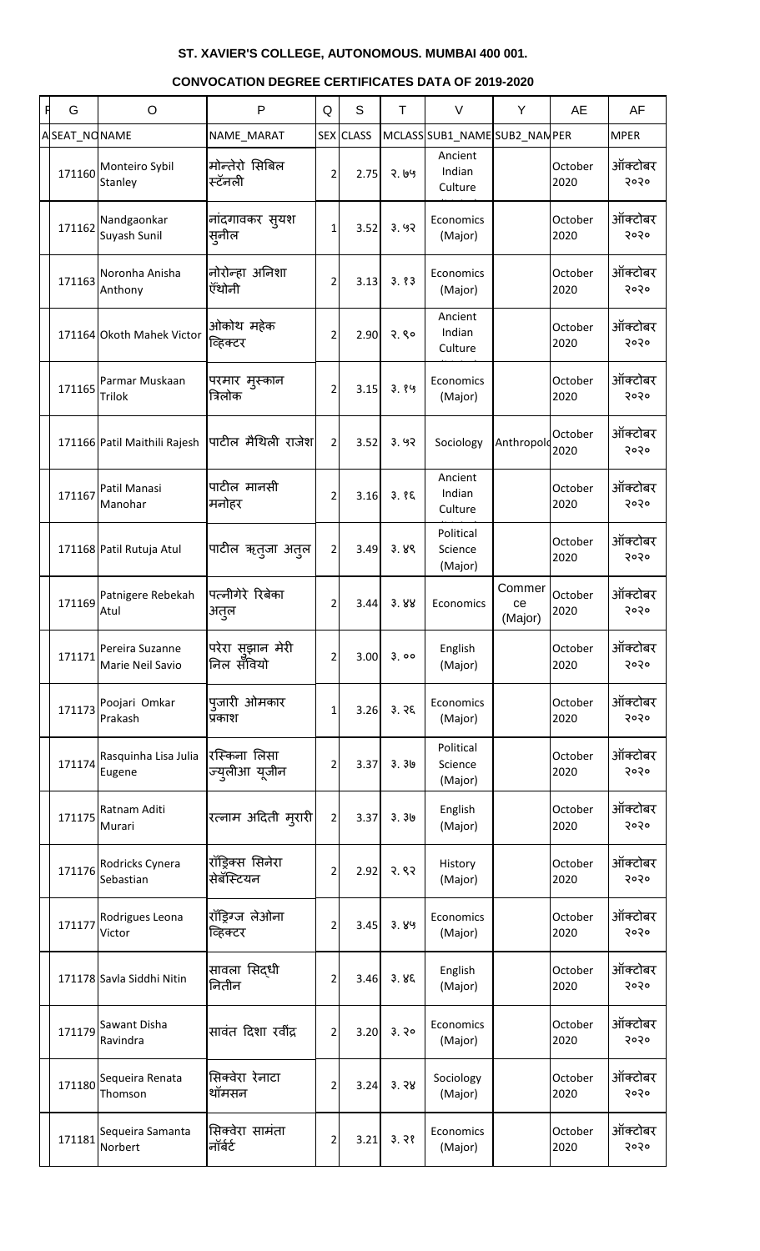| <b>CONVOCATION DEGREE CERTIFICATES DATA OF 2019-2020</b> |  |
|----------------------------------------------------------|--|
|----------------------------------------------------------|--|

| F | G            | $\circ$                             | P                              | Q              | S         | T    | $\vee$                          | Y                         | AE              | AF              |
|---|--------------|-------------------------------------|--------------------------------|----------------|-----------|------|---------------------------------|---------------------------|-----------------|-----------------|
|   | ASEAT_NONAME |                                     | NAME_MARAT                     |                | SEX CLASS |      | MCLASS SUB1_NAME SUB2_NAN PER   |                           |                 | <b>MPER</b>     |
|   | 171160       | Monteiro Sybil<br>Stanley           | मोन्तेरो सिबिल<br>स्टॅनली      | $\overline{2}$ | 2.75      | 3.69 | Ancient<br>Indian<br>Culture    |                           | October<br>2020 | ऑक्टोबर<br>२०२० |
|   | 171162       | Nandgaonkar<br>Suyash Sunil         | नांदगावकर स्यश<br>स्नील        | $1\vert$       | 3.52      | 3.92 | Economics<br>(Major)            |                           | October<br>2020 | ऑक्टोबर<br>२०२० |
|   | 171163       | Noronha Anisha<br>Anthony           | नोरोन्हा अनिशा<br>ऍंथोनी       | $\overline{2}$ | 3.13      | 3.83 | Economics<br>(Major)            |                           | October<br>2020 | ऑक्टोबर<br>२०२० |
|   |              | 171164 Okoth Mahek Victor           | ओकोथ महेक<br>व्हिक्टर          | $\overline{2}$ | 2.90      | 2.80 | Ancient<br>Indian<br>Culture    |                           | October<br>2020 | ऑक्टोबर<br>२०२० |
|   | 171165       | Parmar Muskaan<br><b>Trilok</b>     | परमार मुस्कान<br>त्रिलोक       | $\overline{2}$ | 3.15      | 3.89 | Economics<br>(Major)            |                           | October<br>2020 | ऑक्टोबर<br>२०२० |
|   |              | 171166 Patil Maithili Rajesh        | पाटील मैथिली राजेश             | 2 <sup>1</sup> | 3.52      | 3.92 | Sociology                       | Anthropold                | October<br>2020 | ऑक्टोबर<br>२०२० |
|   | 171167       | Patil Manasi<br>Manohar             | पाटील मानसी<br>मनोहर           | $\overline{2}$ | 3.16      | 3.85 | Ancient<br>Indian<br>Culture    |                           | October<br>2020 | ऑक्टोबर<br>२०२० |
|   |              | 171168 Patil Rutuja Atul            | पाटील ऋतुजा अतुल               | $\overline{2}$ | 3.49      | 3.89 | Political<br>Science<br>(Major) |                           | October<br>2020 | ऑक्टोबर<br>२०२० |
|   |              | 171169 Patnigere Rebekah<br>Atul    | पत्नीगेरे रिबेका<br>अतुल       | 2              | 3.44      | 3.88 | Economics                       | Commer  <br>ce<br>(Major) | October<br>2020 | ऑक्टोबर<br>२०२० |
|   | 171171       | Pereira Suzanne<br>Marie Neil Savio | परेरा सुझान मेरी<br>निल सँवियो | 2              | 3.00      | 3.00 | English<br>(Major)              |                           | October<br>2020 | ऑक्टोबर<br>२०२० |
|   | 171173       | Poojari Omkar<br>Prakash            | प्जारी ओमकार<br>प्रकाश         | 1              | 3.26      | 3.75 | Economics<br>(Major)            |                           | October<br>2020 | ऑक्टोबर<br>२०२० |
|   | 171174       | Rasquinha Lisa Julia<br>Eugene      | रस्किना लिसा<br>ज्युलीआ यूजीन  | 2              | 3.37      | 3.36 | Political<br>Science<br>(Major) |                           | October<br>2020 | ऑक्टोबर<br>२०२० |
|   | 171175       | Ratnam Aditi<br>Murari              | रत्नाम अदिती म् <b>रारी</b>    | $\overline{2}$ | 3.37      | 3.30 | English<br>(Major)              |                           | October<br>2020 | ऑक्टोबर<br>२०२० |
|   | 171176       | Rodricks Cynera<br>Sebastian        | रॉड्रिक्स सिनेरा<br>सेबॅस्टियन | 2              | 2.92      | 3.83 | History<br>(Major)              |                           | October<br>2020 | ऑक्टोबर<br>२०२० |
|   | 171177       | Rodrigues Leona<br>Victor           | रॉड्रिंग्ज लेओना<br>व्हिक्टर   | 2              | 3.45      | 3.89 | Economics<br>(Major)            |                           | October<br>2020 | ऑक्टोबर<br>२०२० |
|   |              | 171178 Savla Siddhi Nitin           | सावला सिद्धी<br>नितीन          | 2              | 3.46      | 3.85 | English<br>(Major)              |                           | October<br>2020 | ऑक्टोबर<br>२०२० |
|   | 171179       | Sawant Disha<br>Ravindra            | सावंत दिशा रवींद्र             | 2              | 3.20      | 3.30 | Economics<br>(Major)            |                           | October<br>2020 | ऑक्टोबर<br>२०२० |
|   | 171180       | Sequeira Renata<br>Thomson          | सिक्वेरा रेनाटा<br>थॉमसन       | 2              | 3.24      | 3.38 | Sociology<br>(Major)            |                           | October<br>2020 | ऑक्टोबर<br>5050 |
|   | 171181       | Sequeira Samanta<br>Norbert         | सिक्वेरा सामंता<br>नॉर्बर्ट    | $\overline{2}$ | 3.21      | 3.38 | Economics<br>(Major)            |                           | October<br>2020 | ऑक्टोबर<br>5050 |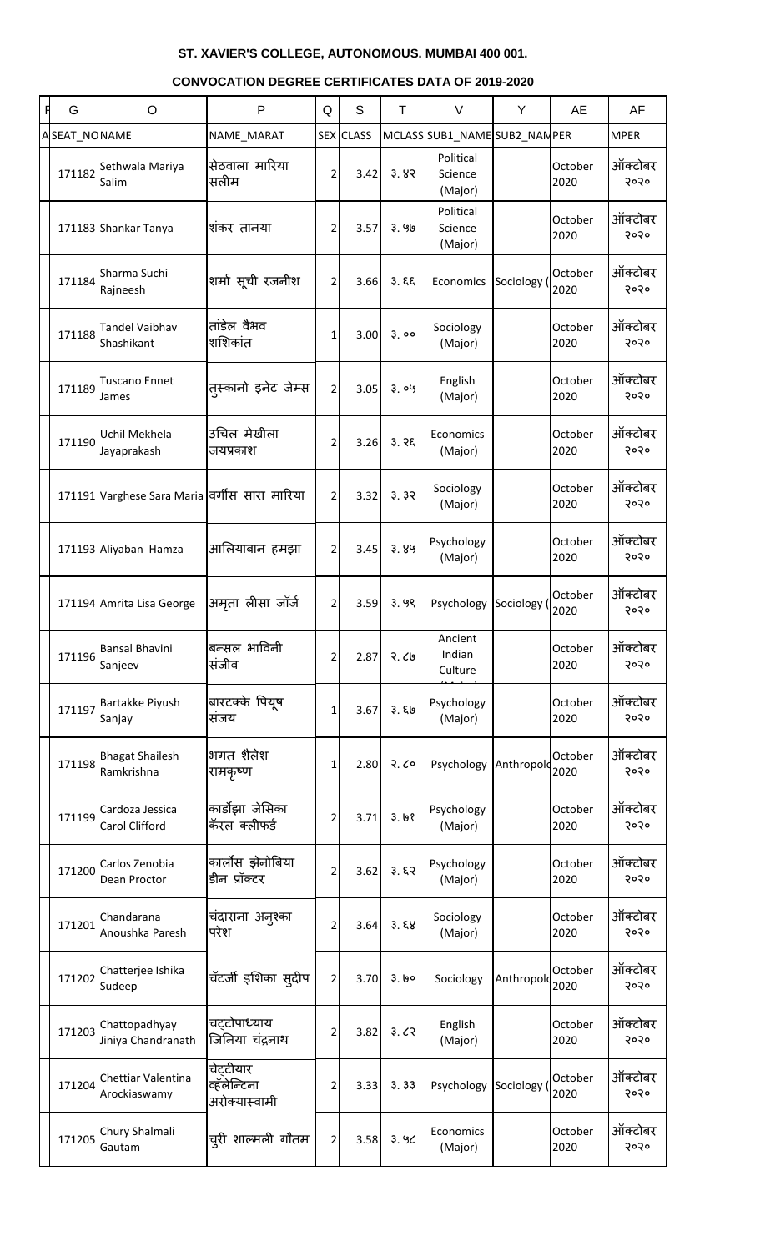| G            | $\circ$                                       | P                                         | Q              | S                | T.    | $\vee$                          | Y           | <b>AE</b>       | AF              |
|--------------|-----------------------------------------------|-------------------------------------------|----------------|------------------|-------|---------------------------------|-------------|-----------------|-----------------|
| ASEAT_NONAME |                                               | NAME_MARAT                                |                | <b>SEX CLASS</b> |       | MCLASS SUB1_NAME SUB2_NAN PER   |             |                 | <b>MPER</b>     |
| 171182       | Sethwala Mariya<br>Salim                      | सेठवाला मारिया<br>सलीम                    | $\overline{2}$ | 3.42             | 3.82  | Political<br>Science<br>(Major) |             | October<br>2020 | ऑक्टोबर<br>२०२० |
|              | 171183 Shankar Tanya                          | शंकर तानया                                | $\overline{2}$ | 3.57             | ३. ५७ | Political<br>Science<br>(Major) |             | October<br>2020 | ऑक्टोबर<br>२०२० |
| 171184       | Sharma Suchi<br>Rajneesh                      | शर्मा सूची रजनीश                          | $\overline{2}$ | 3.66             | 3.55  | Economics                       | Sociology ( | October<br>2020 | ऑक्टोबर<br>२०२० |
| 171188       | <b>Tandel Vaibhav</b><br>Shashikant           | तांडेल वैभव<br>शशिकांत                    | 1              | 3.00             | 3.00  | Sociology<br>(Major)            |             | October<br>2020 | ऑक्टोबर<br>२०२० |
| 171189       | <b>Tuscano Ennet</b><br>James                 | तुस्कानो इनेट जेम्स                       | $\overline{2}$ | 3.05             | 3.09  | English<br>(Major)              |             | October<br>2020 | ऑक्टोबर<br>२०२० |
| 171190       | Uchil Mekhela<br>Jayaprakash                  | उचिल मेखीला<br>जयप्रकाश                   | $\overline{2}$ | 3.26             | 3.35  | Economics<br>(Major)            |             | October<br>2020 | ऑक्टोबर<br>२०२० |
|              | 171191 Varghese Sara Maria वर्गीस सारा मारिया |                                           | $\overline{2}$ | 3.32             | 3.32  | Sociology<br>(Major)            |             | October<br>2020 | ऑक्टोबर<br>२०२० |
|              | 171193 Aliyaban Hamza                         | आलियाबान हमझा                             | $\overline{2}$ | 3.45             | 3.89  | Psychology<br>(Major)           |             | October<br>2020 | ऑक्टोबर<br>२०२० |
|              | 171194 Amrita Lisa George                     | अमृता लीसा जॉर्ज                          | $\overline{2}$ | 3.59             | 3.99  | Psychology                      | Sociology ( | October<br>2020 | ऑक्टोबर<br>२०२० |
| 171196       | Bansal Bhavini<br>Sanjeev                     | बन्सल भाविनी<br>संजीव                     | 2              | 2.87             | २.८७  | Ancient<br>Indian<br>Culture    |             | October<br>2020 | ऑक्टोबर<br>२०२० |
| 171197       | Bartakke Piyush<br>Sanjay                     | बारटक्के पियूष<br>संजय                    | 1              | 3.67             | 3.56  | Psychology<br>(Major)           |             | October<br>2020 | ऑक्टोबर<br>२०२० |
| 171198       | <b>Bhagat Shailesh</b><br>Ramkrishna          | भगत शैलेश<br>रामकृष्ण                     | 1              | 2.80             | 3.60  | Psychology                      | Anthropold  | October<br>2020 | ऑक्टोबर<br>२०२० |
| 171199       | Cardoza Jessica<br>Carol Clifford             | कार्डोझा जेसिका<br>कॅरल क्लीफर्ड          | 2              | 3.71             | 3.68  | Psychology<br>(Major)           |             | October<br>2020 | ऑक्टोबर<br>२०२० |
| 171200       | Carlos Zenobia<br>Dean Proctor                | कार्लोस झेनोबिया<br>डीन प्रॉक्टर          | 2              | 3.62             | 3.57  | Psychology<br>(Major)           |             | October<br>2020 | ऑक्टोबर<br>२०२० |
| 171201       | Chandarana<br>Anoushka Paresh                 | चंदाराना अनुश्का<br>परेश                  | 2              | 3.64             | 3.58  | Sociology<br>(Major)            |             | October<br>2020 | ऑक्टोबर<br>२०२० |
| 171202       | Chatterjee Ishika<br>Sudeep                   | चॅटर्जी इशिका स् <b>दी</b> प              | $\overline{2}$ | 3.70             | 3.60  | Sociology                       | Anthropold  | October<br>2020 | ऑक्टोबर<br>२०२० |
| 171203       | Chattopadhyay<br>Jiniya Chandranath           | चट्टोपाध्याय<br>जिनिया चंद्रनाथ           | 2              | 3.82             | 3.62  | English<br>(Major)              |             | October<br>2020 | ऑक्टोबर<br>२०२० |
| 171204       | Chettiar Valentina<br>Arockiaswamy            | चेटटीयार<br>व्हॅलेन्टिना<br>अरोक्यास्वामी | 2              | 3.33             | 3.33  | Psychology Sociology (          |             | October<br>2020 | ऑक्टोबर<br>२०२० |
| 171205       | Chury Shalmali<br>Gautam                      | च्री शाल्मली गौतम                         | $\overline{2}$ | 3.58             | 3.90  | Economics<br>(Major)            |             | October<br>2020 | ऑक्टोबर<br>२०२० |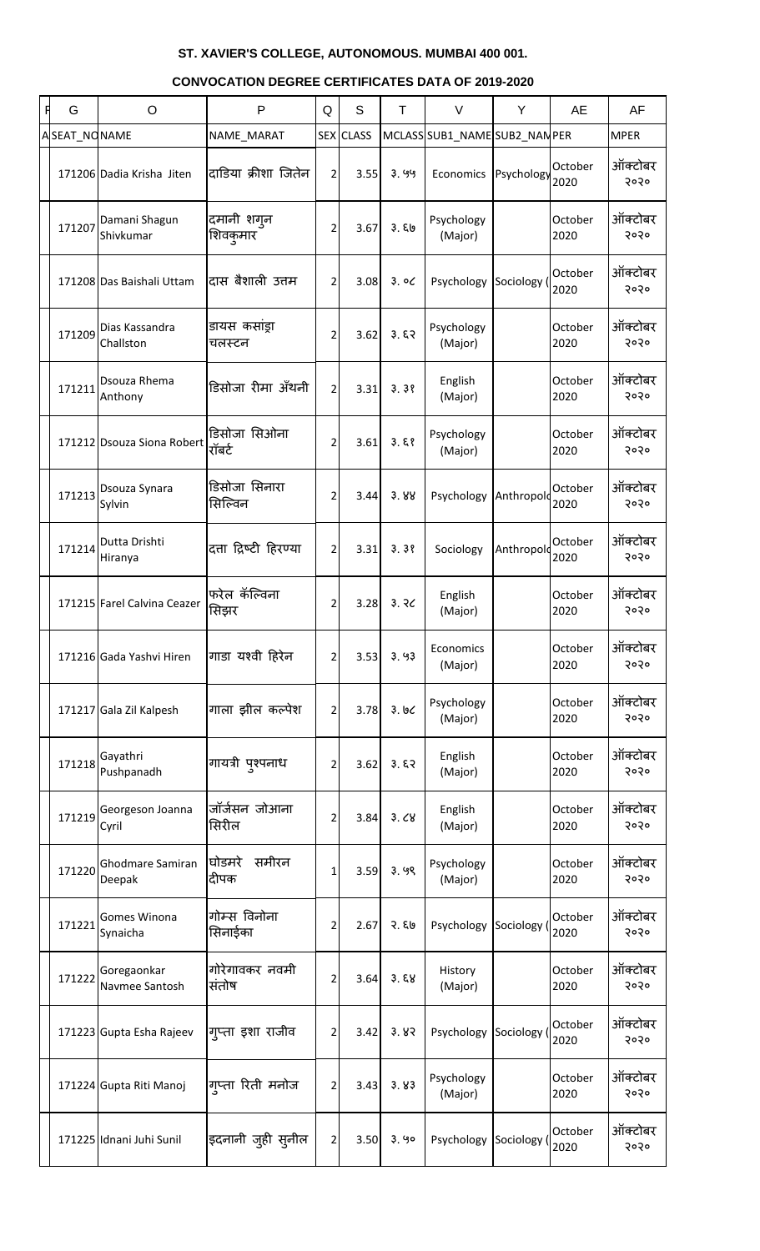| G            | O                                 | $\mathsf{P}$             | Q              | S                | T.    | $\vee$                        | Y           | AE              | AF              |
|--------------|-----------------------------------|--------------------------|----------------|------------------|-------|-------------------------------|-------------|-----------------|-----------------|
| ASEAT_NONAME |                                   | NAME_MARAT               |                | <b>SEX</b> CLASS |       | MCLASS SUB1_NAME SUB2_NAN PER |             |                 | <b>MPER</b>     |
|              | 171206 Dadia Krisha Jiten         | दाडिया क्रीशा जितेन      | $\overline{2}$ | 3.55             | 3.99  | Economics                     | Psychology  | October<br>2020 | ऑक्टोबर<br>२०२० |
| 171207       | Damani Shagun<br>Shivkumar        | दमानी शगुन<br>शिवकुमार   | 2              | 3.67             | 3.50  | Psychology<br>(Major)         |             | October<br>2020 | ऑक्टोबर<br>२०२० |
|              | 171208 Das Baishali Uttam         | दास बैशाली उत्तम         | 2              | 3.08             | 3.00  | Psychology                    | Sociology ( | October<br>2020 | ऑक्टोबर<br>२०२० |
| 171209       | Dias Kassandra<br>Challston       | डायस कसांड्रा<br>चलस्टन  | 2              | 3.62             | 3.57  | Psychology<br>(Major)         |             | October<br>2020 | ऑक्टोबर<br>२०२० |
| 171211       | Dsouza Rhema<br>Anthony           | डिसोजा रीमा अँथनी        | $\overline{2}$ | 3.31             | 3.38  | English<br>(Major)            |             | October<br>2020 | ऑक्टोबर<br>२०२० |
|              | 171212 Dsouza Siona Robert        | डिसोजा सिओना<br>रॉबर्ट   | 2              | 3.61             | 3.58  | Psychology<br>(Major)         |             | October<br>2020 | ऑक्टोबर<br>२०२० |
| 171213       | Dsouza Synara<br>Sylvin           | डिसोजा सिनारा<br>सिल्विन | 2              | 3.44             | 3.88  | Psychology                    | Anthropolo  | October<br>2020 | ऑक्टोबर<br>२०२० |
| 171214       | Dutta Drishti<br>Hiranya          | दत्ता द्रिष्टी हिरण्या   | 2              | 3.31             | 3.38  | Sociology                     | Anthropold  | October<br>2020 | ऑक्टोबर<br>२०२० |
|              | 171215 Farel Calvina Ceazer       | फरेल कॅल्विना<br>सिझर    | 2              | 3.28             | 3.30  | English<br>(Major)            |             | October<br>2020 | ऑक्टोबर<br>२०२० |
|              | 171216 Gada Yashvi Hiren          | गाडा यश्वी हिरेन         | 2              | 3.53             | 3.93  | Economics<br>(Major)          |             | October<br>2020 | ऑक्टोबर<br>२०२० |
|              | 171217 Gala Zil Kalpesh           | गाला झील कल्पेश          | 2              | 3.78             | 3.66  | Psychology<br>(Major)         |             | October<br>2020 | ऑक्टोबर<br>२०२० |
| 171218       | Gayathri<br>Pushpanadh            | गायत्री पुश्पनाध         | 2              | 3.62             | 3.57  | English<br>(Major)            |             | October<br>2020 | ऑक्टोबर<br>२०२० |
| 171219       | Georgeson Joanna<br>Cyril         | जॉर्जसन जोआना<br>सिरील   | 2              | 3.84             | 3.68  | English<br>(Major)            |             | October<br>2020 | ऑक्टोबर<br>२०२० |
| 171220       | <b>Ghodmare Samiran</b><br>Deepak | समीरन<br>घोडमरे<br>दीपक  | 1              | 3.59             | 3.99  | Psychology<br>(Major)         |             | October<br>2020 | ऑक्टोबर<br>२०२० |
| 171221       | <b>Gomes Winona</b><br>Synaicha   | गोम्स विनोना<br>सिनाईका  | 2              | 2.67             | २. ६७ | Psychology                    | Sociology ( | October<br>2020 | ऑक्टोबर<br>२०२० |
| 171222       | Goregaonkar<br>Navmee Santosh     | गोरेगावकर नवमी<br>संतोष  | 2              | 3.64             | 3.58  | History<br>(Major)            |             | October<br>2020 | ऑक्टोबर<br>२०२० |
|              | 171223 Gupta Esha Rajeev          | गुप्ता इशा राजीव         | 2              | 3.42             | 3.82  | Psychology                    | Sociology ( | October<br>2020 | ऑक्टोबर<br>२०२० |
|              | 171224 Gupta Riti Manoj           | गुप्ता रिती मनोज         | 2              | 3.43             | 3.83  | Psychology<br>(Major)         |             | October<br>2020 | ऑक्टोबर<br>२०२० |
|              | 171225 Idnani Juhi Sunil          | इदनानी जुही सुनील        | 2              | 3.50             | 3.90  | Psychology Sociology (        |             | October<br>2020 | ऑक्टोबर<br>२०२० |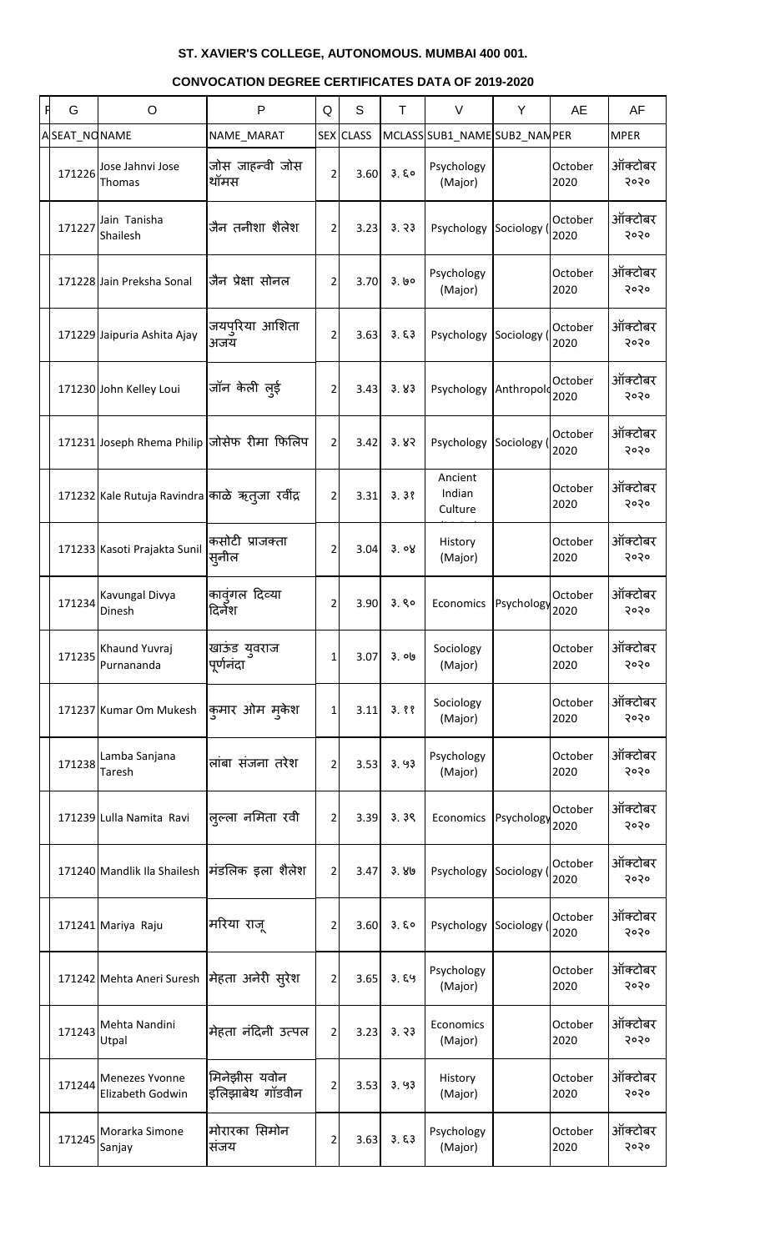| G            | O                                              | P                               | Q              | S                | T     | $\vee$                        | Y         | AE              | AF              |
|--------------|------------------------------------------------|---------------------------------|----------------|------------------|-------|-------------------------------|-----------|-----------------|-----------------|
| ASEAT_NONAME |                                                | NAME_MARAT                      |                | <b>SEX CLASS</b> |       | MCLASS SUB1_NAME SUB2_NAN PER |           |                 | <b>MPER</b>     |
| 171226       | Jose Jahnvi Jose<br>Thomas                     | जोस जाहन्वी जोस<br>थॉमस         | $\overline{2}$ | 3.60             | 3.50  | Psychology<br>(Major)         |           | October<br>2020 | ऑक्टोबर<br>२०२० |
| 171227       | Jain Tanisha<br>Shailesh                       | जैन तनीशा शैलेश                 | $\overline{2}$ | 3.23             | 3.33  | Psychology                    | Sociology | October<br>2020 | ऑक्टोबर<br>२०२० |
|              | 171228 Jain Preksha Sonal                      | जैन प्रेक्षा सोनल               | $\overline{2}$ | 3.70             | 3.60  | Psychology<br>(Major)         |           | October<br>2020 | ऑक्टोबर<br>२०२० |
|              | 171229 Jaipuria Ashita Ajay                    | जयपुरिया आशिता<br>अजय           | $\overline{2}$ | 3.63             | 3.53  | Psychology Sociology          |           | October<br>2020 | ऑक्टोबर<br>२०२० |
|              | 171230 John Kelley Loui                        | जॉन केली लुई                    | $\overline{2}$ | 3.43             | 3.83  | Psychology Anthropolo         |           | October<br>2020 | ऑक्टोबर<br>२०२० |
|              | 171231 Joseph Rhema Philip जोसेफ रीमा फिलिप    |                                 | 2              | 3.42             | 3.82  | Psychology                    | Sociology | October<br>2020 | ऑक्टोबर<br>२०२० |
|              | 171232 Kale Rutuja Ravindra काळे ऋत्जा रवींद्र |                                 | $\overline{2}$ | 3.31             | 3.38  | Ancient<br>Indian<br>Culture  |           | October<br>2020 | ऑक्टोबर<br>२०२० |
|              | 171233 Kasoti Prajakta Sunil                   | कसोटी प्राजक्ता<br>सुनील        | 2              | 3.04             | 3.08  | History<br>(Major)            |           | October<br>2020 | ऑक्टोबर<br>२०२० |
| 171234       | Kavungal Divya<br>Dinesh                       | काव्ंगल दिव्या<br>दिर्नेश       | 2              | 3.90             | 3.80  | Economics Psychology          |           | October<br>2020 | ऑक्टोबर<br>२०२० |
| 171235       | Khaund Yuvraj<br>Purnananda                    | खाऊंड युवराज<br>पूर्णनंदा       |                | 3.07             | 3. ob | Sociology<br>(Major)          |           | October<br>2020 | ऑक्टोबर<br>२०२० |
|              | 171237 Kumar Om Mukesh                         | कुमार ओम मुकेश                  |                | 3.11             | 3.88  | Sociology<br>(Major)          |           | October<br>2020 | ऑक्टोबर<br>२०२० |
| 171238       | Lamba Sanjana<br>Taresh                        | लांबा संजना तरेश                | 2              | 3.53             | 3.93  | Psychology<br>(Major)         |           | October<br>2020 | ऑक्टोबर<br>२०२० |
|              | 171239 Lulla Namita Ravi                       | लुल्ला नमिता रवी                | $\overline{2}$ | 3.39             | 3.39  | Economics Psychology          |           | October<br>2020 | ऑक्टोबर<br>२०२० |
|              | 171240 Mandlik Ila Shailesh                    | मंडलिक इला शैलेश                | $\overline{2}$ | 3.47             | 3.80  | Psychology Sociology          |           | October<br>2020 | ऑक्टोबर<br>२०२० |
|              | 171241 Mariya Raju                             | मरिया राजू                      | 2              | 3.60             | 3.50  | Psychology Sociology          |           | October<br>2020 | ऑक्टोबर<br>२०२० |
|              | 171242 Mehta Aneri Suresh  मेहता अनेरी सूरेश   |                                 | $\overline{2}$ | 3.65             | 3.89  | Psychology<br>(Major)         |           | October<br>2020 | ऑक्टोबर<br>२०२० |
| 171243       | Mehta Nandini<br>Utpal                         | मेहता नंदिनी उत्पल              | 2              | 3.23             | 3.33  | Economics<br>(Major)          |           | October<br>2020 | ऑक्टोबर<br>२०२० |
| 171244       | <b>Menezes Yvonne</b><br>Elizabeth Godwin      | मिनेझीस यवोन<br>इलिझाबेथ गॉडवीन | $\overline{a}$ | 3.53             | 3.93  | History<br>(Major)            |           | October<br>2020 | ऑक्टोबर<br>२०२० |
| 171245       | Morarka Simone<br>Sanjay                       | मोरारका सिमोन<br>संजय           | $\overline{2}$ | 3.63             | 3.53  | Psychology<br>(Major)         |           | October<br>2020 | ऑक्टोबर<br>२०२० |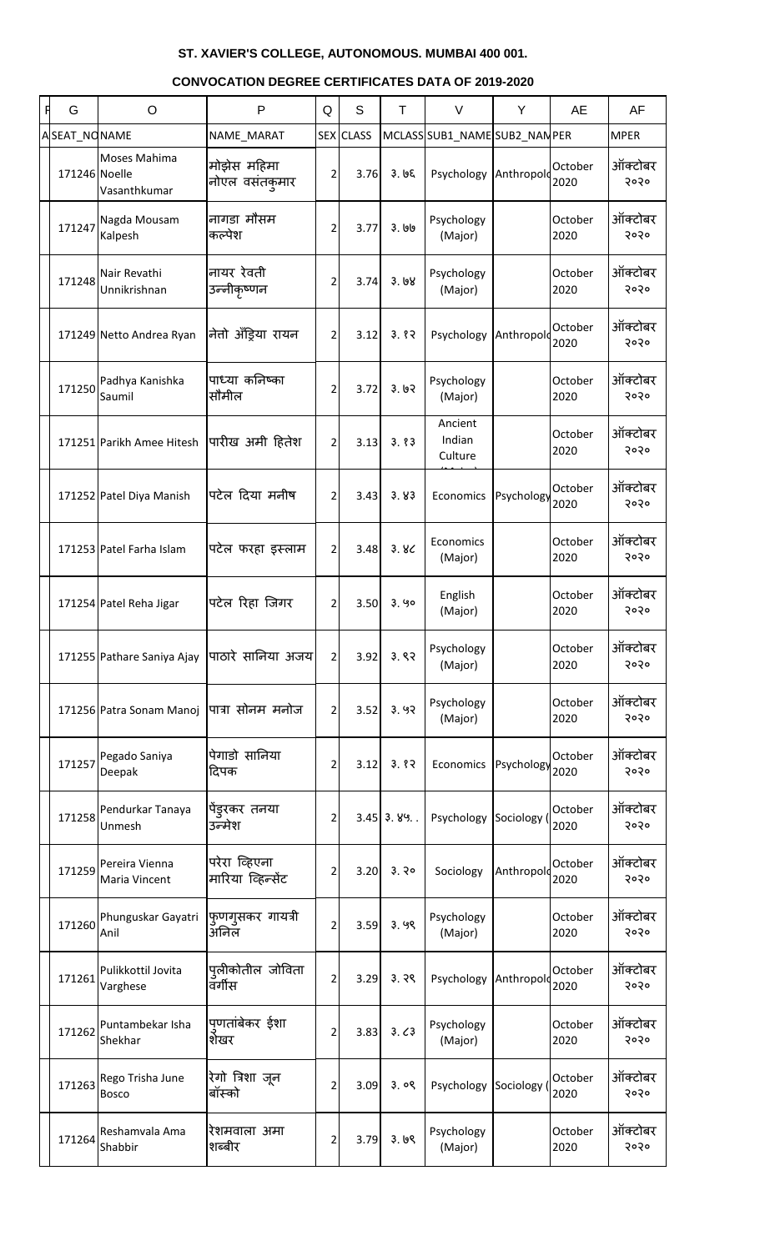| F | G             | O                                | $\mathsf{P}$                       | Q              | S         | T            | $\vee$                        | Y          | AE              | AF              |
|---|---------------|----------------------------------|------------------------------------|----------------|-----------|--------------|-------------------------------|------------|-----------------|-----------------|
|   | ASEAT_NONAME  |                                  | NAME_MARAT                         |                | SEX CLASS |              | MCLASS SUB1_NAME SUB2_NAN PER |            |                 | <b>MPER</b>     |
|   | 171246 Noelle | Moses Mahima<br>Vasanthkumar     | मोझेस महिमा<br>नोएल वसंतकुमार      | $\overline{2}$ | 3.76      | 3.65         | Psychology                    | Anthropolo | October<br>2020 | ऑक्टोबर<br>२०२० |
|   | 171247        | Nagda Mousam<br>Kalpesh          | नागडा मौसम<br>कल्पेश               | 2              | 3.77      | 3.190        | Psychology<br>(Major)         |            | October<br>2020 | ऑक्टोबर<br>२०२० |
|   | 171248        | Nair Revathi<br>Unnikrishnan     | नायर रेवती<br>उन्नीकृष्णन          | $\overline{2}$ | 3.74      | 3.68         | Psychology<br>(Major)         |            | October<br>2020 | ऑक्टोबर<br>२०२० |
|   |               | 171249 Netto Andrea Ryan         | नेतो अँड्रिया रायन                 | $\overline{2}$ | 3.12      | 3.82         | Psychology                    | Anthropolo | October<br>2020 | ऑक्टोबर<br>२०२० |
|   | 171250        | Padhya Kanishka<br>Saumil        | पाध्या कनिष्का<br>सौमील            | 2              | 3.72      | 3.62         | Psychology<br>(Major)         |            | October<br>2020 | ऑक्टोबर<br>२०२० |
|   |               | 171251 Parikh Amee Hitesh        | पारीख अमी हितेश                    | $\overline{2}$ | 3.13      | 3.83         | Ancient<br>Indian<br>Culture  |            | October<br>2020 | ऑक्टोबर<br>२०२० |
|   |               | 171252 Patel Diya Manish         | पटेल दिया मनीष                     | $\overline{2}$ | 3.43      | 3.83         | Economics                     | Psychology | October<br>2020 | ऑक्टोबर<br>२०२० |
|   |               | 171253 Patel Farha Islam         | पटेल फरहा इस्लाम                   | $\overline{2}$ | 3.48      | 3.8<         | Economics<br>(Major)          |            | October<br>2020 | ऑक्टोबर<br>२०२० |
|   |               | 171254 Patel Reha Jigar          | पटेल रिहा जिगर                     | $\overline{2}$ | 3.50      | 3.90         | English<br>(Major)            |            | October<br>2020 | ऑक्टोबर<br>२०२० |
|   |               | 171255 Pathare Saniya Ajay       | पाठारे सानिया अजय                  | $\overline{2}$ | 3.92      | 3.82         | Psychology<br>(Major)         |            | October<br>2020 | ऑक्टोबर<br>२०२० |
|   |               | 171256 Patra Sonam Manoj         | पात्रा सोनम मनोज                   | 2              | 3.52      | 3.92         | Psychology<br>(Major)         |            | October<br>2020 | ऑक्टोबर<br>२०२० |
|   | 171257        | Pegado Saniya<br>Deepak          | पेगाडो सानिया<br>दिपक              | 2              | 3.12      | 3.82         | Economics                     | Psychology | October<br>2020 | ऑक्टोबर<br>२०२० |
|   | 171258        | Pendurkar Tanaya<br>Unmesh       | पेंडुरकर तनया<br>उन्मेश            | 2              |           | $3.45$ 3.89. | Psychology                    | Sociology  | October<br>2020 | ऑक्टोबर<br>२०२० |
|   | 171259        | Pereira Vienna<br>Maria Vincent  | परेरा व्हिएना<br>मारिया व्हिन्सेंट | 2              | 3.20      | 3.30         | Sociology                     | Anthropold | October<br>2020 | ऑक्टोबर<br>२०२० |
|   | 171260        | Phunguskar Gayatri<br>Anil       | फुणगुसकर गायत्री<br>अनिल           | 2              | 3.59      | 3.99         | Psychology<br>(Major)         |            | October<br>2020 | ऑक्टोबर<br>२०२० |
|   | 171261        | Pulikkottil Jovita<br>Varghese   | पुलीकोतील जोविता<br>वर्गीस         | 2              | 3.29      | 3.39         | Psychology                    | Anthropolo | October<br>2020 | ऑक्टोबर<br>२०२० |
|   | 171262        | Puntambekar Isha<br>Shekhar      | पणतांबेकर ईशा<br>शेखर              | $\overline{2}$ | 3.83      | 3.63         | Psychology<br>(Major)         |            | October<br>2020 | ऑक्टोबर<br>२०२० |
|   | 171263        | Rego Trisha June<br><b>Bosco</b> | रेगो त्रिशा जून<br>बॉस्को          | 2              | 3.09      | 3.09         | Psychology Sociology (2020    |            | October         | ऑक्टोबर<br>२०२० |
|   | 171264        | Reshamvala Ama<br>Shabbir        | रेशमवाला अमा<br>शब्बीर             | $\overline{2}$ | 3.79      | 3.69         | Psychology<br>(Major)         |            | October<br>2020 | ऑक्टोबर<br>5050 |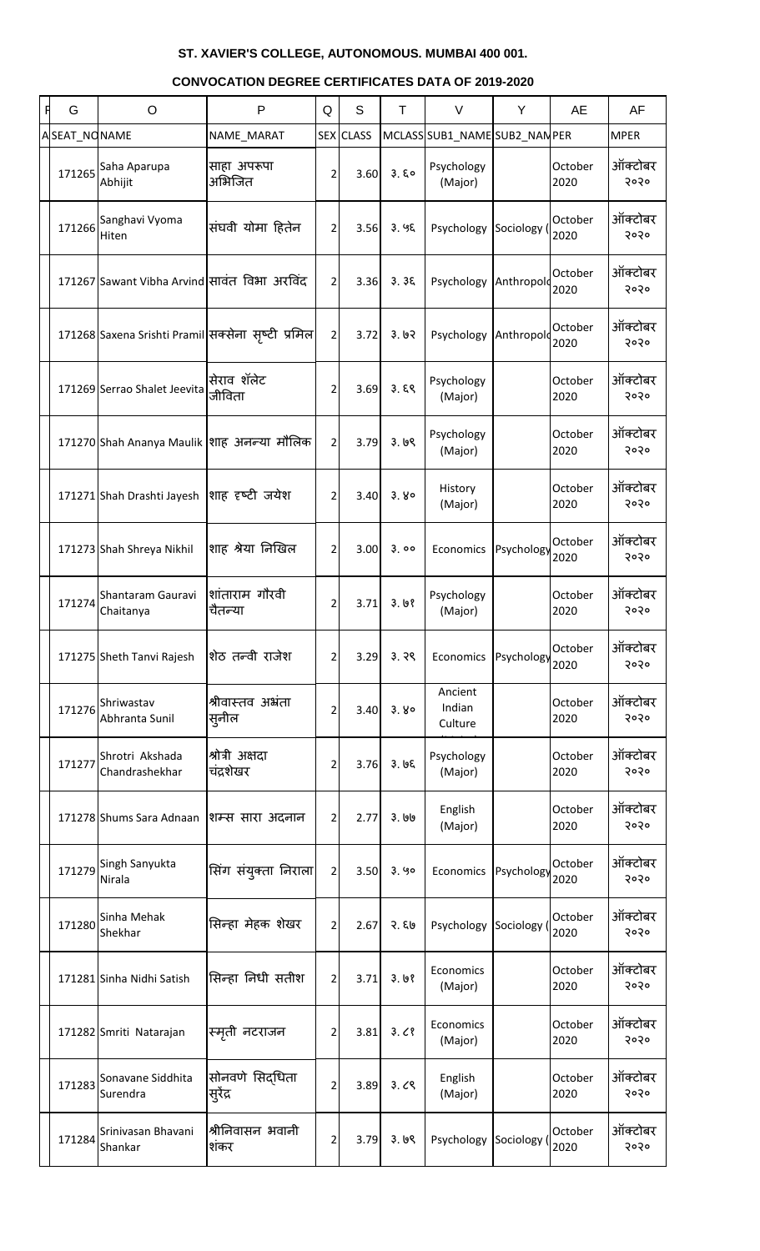| G            | $\circ$                                        | P                                                  | Q              | S         | T     | $\vee$                        | Y          | AE              | AF              |
|--------------|------------------------------------------------|----------------------------------------------------|----------------|-----------|-------|-------------------------------|------------|-----------------|-----------------|
| ASEAT_NONAME |                                                | NAME_MARAT                                         |                | SEX CLASS |       | MCLASS SUB1_NAME SUB2_NAN PER |            |                 | <b>MPER</b>     |
| 171265       | Saha Aparupa<br>Abhijit                        | साहा अपरूपा<br>अभिजित                              | $\overline{2}$ | 3.60      | 3.50  | Psychology<br>(Major)         |            | October<br>2020 | ऑक्टोबर<br>२०२० |
| 171266       | Sanghavi Vyoma<br>Hiten                        | संघवी योमा हितेन                                   | $\overline{2}$ | 3.56      | 3.95  | Psychology                    | Sociology  | October<br>2020 | ऑक्टोबर<br>२०२० |
|              | 171267 Sawant Vibha Arvind सावंत विभा अरविंद   |                                                    | $\overline{2}$ | 3.36      | 3.36  | Psychology                    | Anthropold | October<br>2020 | ऑक्टोबर<br>२०२० |
|              |                                                | 171268 Saxena Srishti Pramil सक्सेना सृष्टी प्रमिल | $\overline{2}$ | 3.72      | 3.62  | Psychology                    | Anthropolo | October<br>2020 | ऑक्टोबर<br>२०२० |
|              | 171269 Serrao Shalet Jeevita                   | सेराव शॅलेट<br>जीविता                              | 2              | 3.69      | 3.59  | Psychology<br>(Major)         |            | October<br>2020 | ऑक्टोबर<br>२०२० |
|              | 171270 Shah Ananya Maulik शाह अनन्या मौलिक     |                                                    | $\overline{2}$ | 3.79      | 3.69  | Psychology<br>(Major)         |            | October<br>2020 | ऑक्टोबर<br>२०२० |
|              | 171271 Shah Drashti Jayesh शाह ह़ष्टी जयेश     |                                                    | $\overline{2}$ | 3.40      | 3.80  | History<br>(Major)            |            | October<br>2020 | ऑक्टोबर<br>२०२० |
|              | 171273 Shah Shreya Nikhil                      | शाह श्रेया निखिल                                   | $\overline{2}$ | 3.00      | 3.00  | Economics                     | Psychology | October<br>2020 | ऑक्टोबर<br>२०२० |
| 171274       | Shantaram Gauravi  शांताराम गौरवी<br>Chaitanya | चैतन्या                                            | $\overline{2}$ | 3.71      | 3.68  | Psychology<br>(Major)         |            | October<br>2020 | ऑक्टोबर<br>२०२० |
|              | 171275 Sheth Tanvi Rajesh                      | शेठ तन्वी राजेश                                    | 2              | 3.29      | 3.39  | Economics                     | Psychology | October<br>2020 | ऑक्टोबर<br>२०२० |
| 171276       | Shriwastav<br>Abhranta Sunil                   | श्रीवास्तव अभ्रंता<br>'सुनील                       | $\overline{2}$ | 3.40      | 3.80  | Ancient<br>Indian<br>Culture  |            | October<br>2020 | ऑक्टोबर<br>२०२० |
| 171277       | Shrotri Akshada<br>Chandrashekhar              | श्रोत्री अक्षदा<br>चंद्रशेखर                       | $\overline{2}$ | 3.76      | 3.65  | Psychology<br>(Major)         |            | October<br>2020 | ऑक्टोबर<br>२०२० |
|              | 171278 Shums Sara Adnaan                       | शिम्स सारा अदनान                                   | 2              | 2.77      | ३. ७७ | English<br>(Major)            |            | October<br>2020 | ऑक्टोबर<br>२०२० |
| 171279       | Singh Sanyukta<br>Nirala                       | सिंग संयुक्ता निराला $\vert$                       | $\overline{2}$ | 3.50      | 3.90  | Economics                     | Psychology | October<br>2020 | ऑक्टोबर<br>२०२० |
| 171280       | Sinha Mehak<br>Shekhar                         | सिन्हा मेहक शेखर                                   | 2              | 2.67      | २. ६७ | Psychology                    | Sociology  | October<br>2020 | ऑक्टोबर<br>२०२० |
|              | 171281 Sinha Nidhi Satish                      | सिन्हा निधी सतीश                                   | 2              | 3.71      | 3.68  | Economics<br>(Major)          |            | October<br>2020 | ऑक्टोबर<br>२०२० |
|              | 171282 Smriti Natarajan                        | स्मृती नटराजन                                      | $\overline{2}$ | 3.81      | 3.08  | Economics<br>(Major)          |            | October<br>2020 | ऑक्टोबर<br>२०२० |
| 171283       | Sonavane Siddhita<br>Surendra                  | सोनवणे सिद्धिता<br><sup>।</sup> सुरेंद्र           | $\mathbf{2}$   | 3.89      | 3.09  | English<br>(Major)            |            | October<br>2020 | ऑक्टोबर<br>२०२० |
| 171284       | Srinivasan Bhavani<br>Shankar                  | श्रीनिवासन भवानी<br>शंकर                           | $\overline{2}$ | 3.79      | 3.69  | Psychology Sociology          |            | October<br>2020 | ऑक्टोबर<br>२०२० |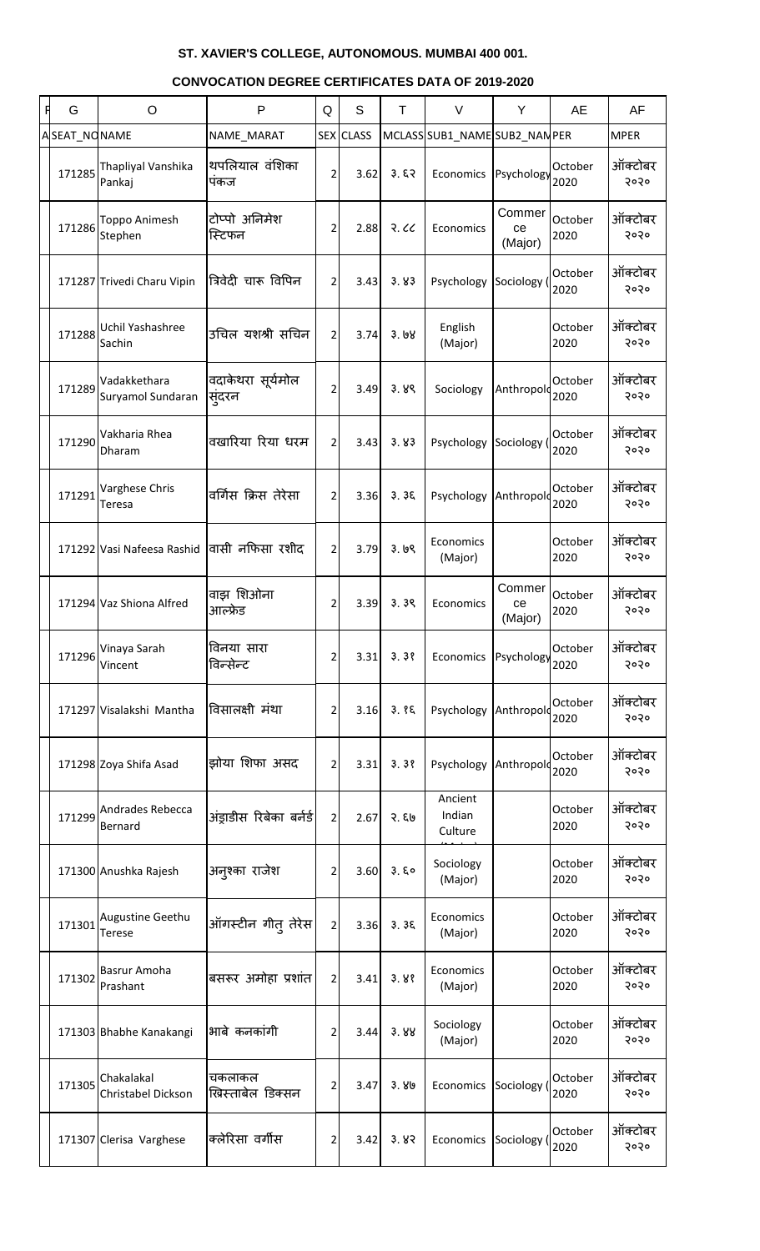| F | G            | O                                          | P                            | Q              | S         | T     | V                             | Y                         | AE              | AF              |
|---|--------------|--------------------------------------------|------------------------------|----------------|-----------|-------|-------------------------------|---------------------------|-----------------|-----------------|
|   | ASEAT_NONAME |                                            | NAME_MARAT                   |                | SEX CLASS |       | MCLASS SUB1_NAME SUB2_NAN PER |                           |                 | <b>MPER</b>     |
|   | 171285       | Thapliyal Vanshika<br>Pankaj               | थपलियाल वंशिका<br>पकज        | $\overline{2}$ | 3.62      | 3.57  | Economics                     | Psychology                | October<br>2020 | ऑक्टोबर<br>२०२० |
|   | 171286       | Toppo Animesh<br>Stephen                   | टोप्पो अनिमेश<br>स्टिफन      | 2              | 2.88      | R.C.  | Economics                     | Commer<br>ce<br>(Major)   | October<br>2020 | ऑक्टोबर<br>२०२० |
|   |              | 171287 Trivedi Charu Vipin                 | त्रिवेदी चारू विपिन          | $\overline{2}$ | 3.43      | 3.83  | Psychology                    | Sociology                 | October<br>2020 | ऑक्टोबर<br>२०२० |
|   | 171288       | Uchil Yashashree<br>Sachin                 | उचिल यशश्री सचिन             | $\overline{2}$ | 3.74      | 3.68  | English<br>(Major)            |                           | October<br>2020 | ऑक्टोबर<br>२०२० |
|   | 171289       | Vadakkethara<br>Suryamol Sundaran          | वदाकेथरा सूर्यमोल<br>सुंदरन  | $\overline{2}$ | 3.49      | 3.89  | Sociology                     | Anthropolo                | October<br>2020 | ऑक्टोबर<br>२०२० |
|   | 171290       | Vakharia Rhea<br>Dharam                    | वखारिया रिया धरम             | $\overline{2}$ | 3.43      | 3.83  | Psychology                    | Sociology (               | October<br>2020 | ऑक्टोबर<br>२०२० |
|   | 171291       | Varghese Chris<br>Teresa                   | वर्गिस क्रिस तेरेसा          | $\overline{2}$ | 3.36      | 3.35  | Psychology                    | Anthropold                | October<br>2020 | ऑक्टोबर<br>२०२० |
|   |              | 171292 Vasi Nafeesa Rashid वासी नफिसा रशीद |                              | 2              | 3.79      | 3.69  | Economics<br>(Major)          |                           | October<br>2020 | ऑक्टोबर<br>२०२० |
|   |              | 171294 Vaz Shiona Alfred                   | वाझ शिओना<br>आल्फ्रेड        | 2              | 3.39      | 3.39  | Economics                     | Commer  <br>ce<br>(Major) | October<br>2020 | ऑक्टोबर<br>२०२० |
|   | 171296       | Vinaya Sarah<br>Vincent                    | विनया सारा<br>विन्सेन्ट      | $\overline{2}$ | 3.31      | 3.38  | Economics Psychology          |                           | October<br>2020 | ऑक्टोबर<br>२०२० |
|   |              | 171297 Visalakshi Mantha                   | विसालक्षी मंथा               | $\overline{2}$ | 3.16      | 3.85  | Psychology                    | Anthropolo                | October<br>2020 | ऑक्टोबर<br>२०२० |
|   |              | 171298 Zoya Shifa Asad                     | झोया शिफा असद                | 2 <sup>1</sup> | 3.31      | 3.38  | Psychology                    | Anthropold                | October<br>2020 | ऑक्टोबर<br>२०२० |
|   | 171299       | Andrades Rebecca<br>Bernard                | अंड्राडीस रिबेका बर्नर्ड     | $\overline{2}$ | 2.67      | २. ६७ | Ancient<br>Indian<br>Culture  |                           | October<br>2020 | ऑक्टोबर<br>२०२० |
|   |              | 171300 Anushka Rajesh                      | अन्9का राजेश                 | $\overline{2}$ | 3.60      | 3.80  | Sociology<br>(Major)          |                           | October<br>2020 | ऑक्टोबर<br>२०२० |
|   | 171301       | Augustine Geethu<br><b>Terese</b>          | ऑगस्टीन गीत् तेरेस           | $\overline{2}$ | 3.36      | 3.35  | Economics<br>(Major)          |                           | October<br>2020 | ऑक्टोबर<br>२०२० |
|   | 171302       | Basrur Amoha<br>Prashant                   | बसरूर अमोहा प्रशांत          | $\overline{2}$ | 3.41      | 3.88  | Economics<br>(Major)          |                           | October<br>2020 | ऑक्टोबर<br>२०२० |
|   |              | 171303 Bhabhe Kanakangi                    | भाबे कनकांगी                 | $\overline{2}$ | 3.44      | 3.88  | Sociology<br>(Major)          |                           | October<br>2020 | ऑक्टोबर<br>२०२० |
|   | 171305       | Chakalakal<br>Christabel Dickson           | चकलाकल<br>ख्रिस्ताबेल डिक्सन | $\overline{2}$ | 3.47      | 3.80  | Economics Sociology (2020     |                           | October         | ऑक्टोबर<br>२०२० |
|   |              | 171307 Clerisa Varghese                    | क्लेरिसा वर्गीस              | $\overline{2}$ | 3.42      | 3.83  | Economics                     | Sociology (               | October<br>2020 | ऑक्टोबर<br>२०२० |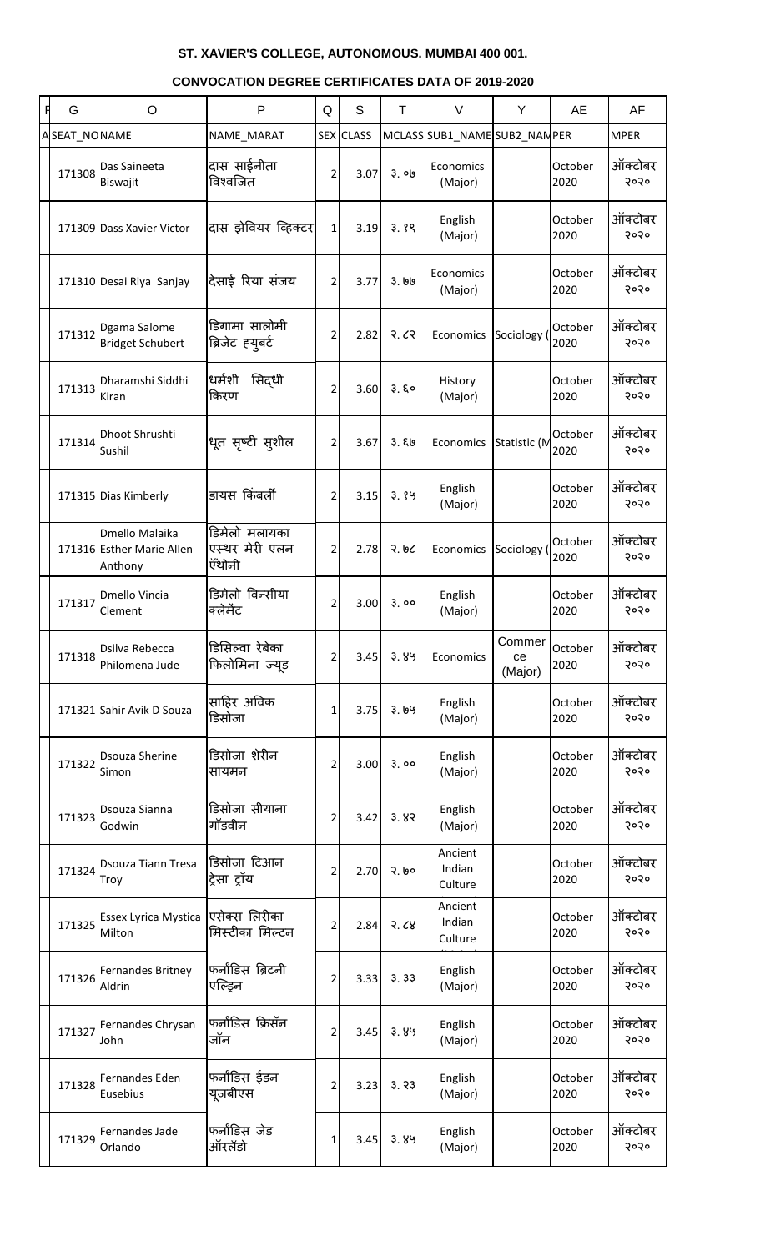| G            | $\circ$                                                | P                                         | Q              | S                | T     | $\vee$                        | Y                       | AE              | AF              |
|--------------|--------------------------------------------------------|-------------------------------------------|----------------|------------------|-------|-------------------------------|-------------------------|-----------------|-----------------|
| ASEAT_NONAME |                                                        | NAME_MARAT                                |                | <b>SEX CLASS</b> |       | MCLASS SUB1_NAME SUB2_NAN PER |                         |                 | <b>MPER</b>     |
| 171308       | Das Saineeta<br>Biswajit                               | दास साईनीता<br>विश्वजित                   | 2              | 3.07             | 3. ob | Economics<br>(Major)          |                         | October<br>2020 | ऑक्टोबर<br>२०२० |
|              | 171309 Dass Xavier Victor                              | दास झेवियर व्हिक्टर                       | $\mathbf{1}$   | 3.19             | 3.89  | English<br>(Major)            |                         | October<br>2020 | ऑक्टोबर<br>२०२० |
|              | 171310 Desai Riya Sanjay                               | देसाई रिया संजय                           | $\overline{2}$ | 3.77             | ३. ७७ | Economics<br>(Major)          |                         | October<br>2020 | ऑक्टोबर<br>२०२० |
| 171312       | Dgama Salome<br><b>Bridget Schubert</b>                | डिगामा सालोमी<br>ब्रिजेट ह्यूबर्ट         | 2              | 2.82             | २.८२  | Economics                     | Sociology (             | October<br>2020 | ऑक्टोबर<br>२०२० |
| 171313       | Dharamshi Siddhi<br>Kiran                              | धर्मशी<br>सिद्धी<br>किरण                  | 2              | 3.60             | 3.50  | History<br>(Major)            |                         | October<br>2020 | ऑक्टोबर<br>२०२० |
| 171314       | Dhoot Shrushti<br>Sushil                               | धूत सृष्टी सुशील                          | $\overline{2}$ | 3.67             | 3.50  | Economics                     | Statistic (M            | October<br>2020 | ऑक्टोबर<br>२०२० |
|              | 171315 Dias Kimberly                                   | डायस किंबर्ली                             | 2              | 3.15             | 3.89  | English<br>(Major)            |                         | October<br>2020 | ऑक्टोबर<br>२०२० |
|              | Dmello Malaika<br>171316 Esther Marie Allen<br>Anthony | डिमेलो मलायका<br>एस्थर मेरी एलन<br>ऍंथोनी | 2              | 2.78             | २. ७८ | Economics                     | Sociology (             | October<br>2020 | ऑक्टोबर<br>२०२० |
| 171317       | Dmello Vincia<br>Clement                               | डिमेलो विन्सीया<br>क्लेमेंट               | 2              | 3.00             | 3.00  | English<br>(Major)            |                         | October<br>2020 | ऑक्टोबर<br>२०२० |
| 171318       | Dsilva Rebecca<br>Philomena Jude                       | डिसिल्वा रेबेका<br>फिलोमिना ज्यूड         | 2              | 3.45             | 3.89  | Economics                     | Commer<br>ce<br>(Major) | October<br>2020 | ऑक्टोबर<br>२०२० |
|              | 171321 Sahir Avik D Souza                              | साहिर अविक<br>डिसोजा                      | 1              | 3.75             | 3.199 | English<br>(Major)            |                         | October<br>2020 | ऑक्टोबर<br>२०२० |
| 171322       | <b>Dsouza Sherine</b><br>Simon                         | डिसोजा शेरीन<br>सायमन                     | 2              | 3.00             | 3.00  | English<br>(Major)            |                         | October<br>2020 | ऑक्टोबर<br>२०२० |
| 171323       | Dsouza Sianna<br>Godwin                                | डिसोजा सीयाना<br>गॉडवीन                   | 2              | 3.42             | 3.83  | English<br>(Major)            |                         | October<br>2020 | ऑक्टोबर<br>२०२० |
| 171324       | <b>Dsouza Tiann Tresa</b><br>Troy                      | डिसोजा टिआन<br>ट्रेसा ट्रॉय               | 2              | 2.70             | २. ७० | Ancient<br>Indian<br>Culture  |                         | October<br>2020 | ऑक्टोबर<br>२०२० |
| 171325       | <b>Essex Lyrica Mystica</b><br>Milton                  | एसेक्स लिरीका<br>मिस्टीका मिल्टन          | 2              | 2.84             | 3.68  | Ancient<br>Indian<br>Culture  |                         | October<br>2020 | ऑक्टोबर<br>२०२० |
| 171326       | <b>Fernandes Britney</b><br>Aldrin                     | फर्नांडिस ब्रिटनी<br>एल्ड्रिन             | 2              | 3.33             | 3.33  | English<br>(Major)            |                         | October<br>2020 | ऑक्टोबर<br>२०२० |
| 171327       | Fernandes Chrysan<br>John                              | फर्नांडिस क्रिसॅन<br>जॉन                  | 2              | 3.45             | 3.89  | English<br>(Major)            |                         | October<br>2020 | ऑक्टोबर<br>२०२० |
| 171328       | Fernandes Eden<br>Eusebius                             | फर्नांडिस ईडन<br>यूजबीएस                  | 2              | 3.23             | 3.33  | English<br>(Major)            |                         | October<br>2020 | ऑक्टोबर<br>5050 |
| 171329       | Fernandes Jade<br>Orlando                              | फर्नांडिस जेड<br>ऑरलँडो                   | 1              | 3.45             | 3.89  | English<br>(Major)            |                         | October<br>2020 | ऑक्टोबर<br>5050 |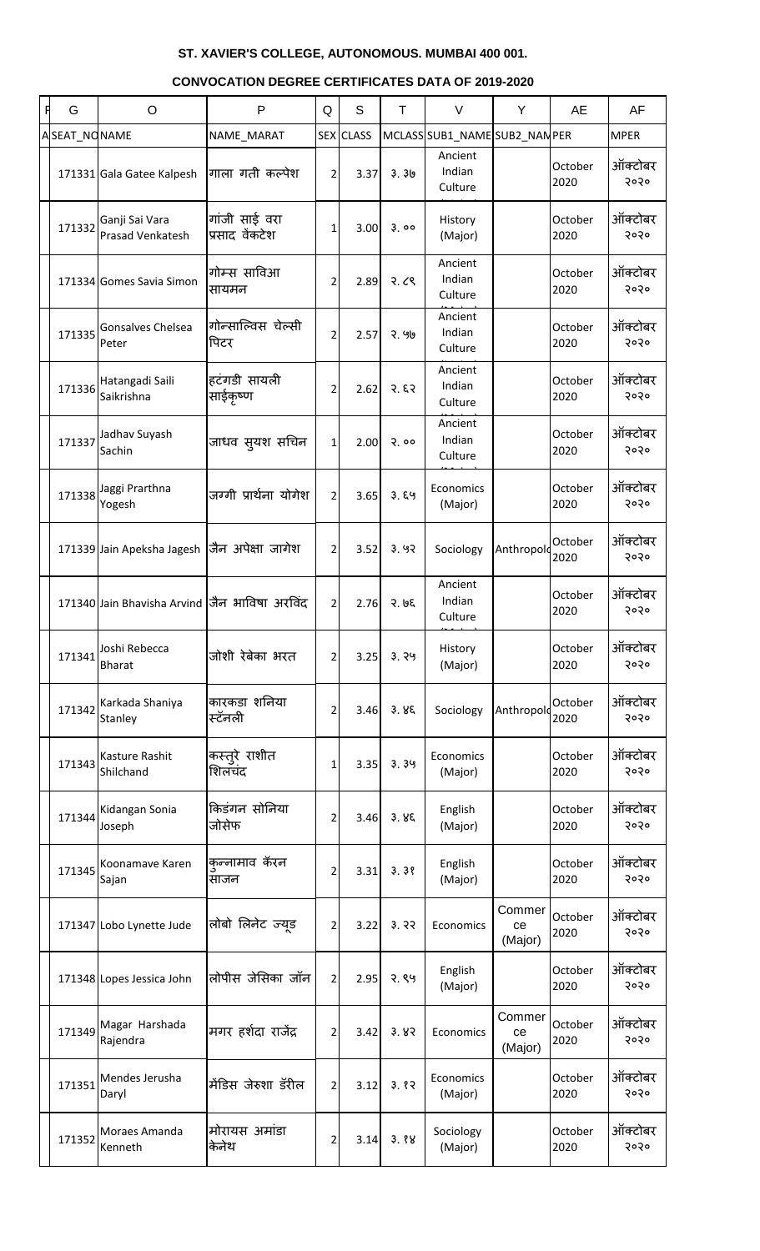| Ħ | G            | $\circ$                                        | P                               | Q              | S                | T             | $\vee$                        | Y                       | AE              | AF              |
|---|--------------|------------------------------------------------|---------------------------------|----------------|------------------|---------------|-------------------------------|-------------------------|-----------------|-----------------|
|   | ASEAT_NONAME |                                                | NAME_MARAT                      |                | <b>SEX CLASS</b> |               | MCLASS SUB1_NAME SUB2_NAN PER |                         |                 | <b>MPER</b>     |
|   |              | 171331 Gala Gatee Kalpesh                      | गाला गती कल्पेश                 | $\overline{2}$ | 3.37             | 3.30          | Ancient<br>Indian<br>Culture  |                         | October<br>2020 | ऑक्टोबर<br>२०२० |
|   | 171332       | Ganji Sai Vara<br>Prasad Venkatesh             | गांजी साई वरा<br>प्रसाद वेंकटेश | 1              | 3.00             | 3.00          | History<br>(Major)            |                         | October<br>2020 | ऑक्टोबर<br>२०२० |
|   |              | 171334 Gomes Savia Simon                       | गोम्स साविआ<br>सायमन            | 2              | 2.89             | 3.68          | Ancient<br>Indian<br>Culture  |                         | October<br>2020 | ऑक्टोबर<br>२०२० |
|   | 171335       | Gonsalves Chelsea<br>Peter                     | गोन्साल्विस चेल्सी<br>पिटर      | $\overline{2}$ | 2.57             | २. ५७         | Ancient<br>Indian<br>Culture  |                         | October<br>2020 | ऑक्टोबर<br>२०२० |
|   | 171336       | Hatangadi Saili<br>Saikrishna                  | हटंगडी सायली<br>साईकृष्ण        | 2              | 2.62             | 3.53          | Ancient<br>Indian<br>Culture  |                         | October<br>2020 | ऑक्टोबर<br>२०२० |
|   | 171337       | Jadhav Suyash<br>Sachin                        | जाधव सुयश सचिन                  | $\mathbf{1}$   | 2.00             | 2.00          | Ancient<br>Indian<br>Culture  |                         | October<br>2020 | ऑक्टोबर<br>२०२० |
|   | 171338       | Jaggi Prarthna<br>Yogesh                       | जग्गी प्रार्थना योगेश           | $\overline{2}$ | 3.65             | 3.89          | Economics<br>(Major)          |                         | October<br>2020 | ऑक्टोबर<br>२०२० |
|   |              | 171339 Jain Apeksha Jagesh                     | जैन अपेक्षा जागेश               | $\overline{2}$ | 3.52             | 3.92          | Sociology                     | Anthropold              | October<br>2020 | ऑक्टोबर<br>२०२० |
|   |              | 171340 Jain Bhavisha Arvind  जैन भाविषा अरविंद |                                 | $\overline{2}$ | 2.76             | 3.95          | Ancient<br>Indian<br>Culture  |                         | October<br>2020 | ऑक्टोबर<br>२०२० |
|   | 171341       | Joshi Rebecca<br><b>Bharat</b>                 | जोशी रेबेका भरत                 | 2              | 3.25             | 3.79          | History<br>(Major)            |                         | October<br>2020 | ऑक्टोबर<br>२०२० |
|   | 171342       | Karkada Shaniya<br>Stanley                     | कारकडा शनिया<br>स्टॅनली         | 2              | 3.46             | 3.85          | Sociology                     | Anthropold              | October<br>2020 | ऑक्टोबर<br>२०२० |
|   | 171343       | Kasture Rashit<br>Shilchand                    | कस्तुरे राशीत<br>शिलचंद         | 1              | 3.35             | 3.39          | Economics<br>(Major)          |                         | October<br>2020 | ऑक्टोबर<br>२०२० |
|   | 171344       | Kidangan Sonia<br>Joseph                       | किडंगन सोनिया<br>जोसेफ          | 2              | 3.46             | 3.85          | English<br>(Major)            |                         | October<br>2020 | ऑक्टोबर<br>२०२० |
|   | 171345       | Koonamave Karen<br>Sajan                       | कुन्नामाव कॅरन<br>साजन          | 2              | 3.31             | 3.38          | English<br>(Major)            |                         | October<br>2020 | ऑक्टोबर<br>२०२० |
|   |              | 171347 Lobo Lynette Jude                       | लोबो लिनेट ज्यूड                | 2              | 3.22             | 3.32          | Economics                     | Commer<br>ce<br>(Major) | October<br>2020 | ऑक्टोबर<br>२०२० |
|   |              | 171348 Lopes Jessica John                      | लोपीस जेसिका जॉन                | 2              | 2.95             | 2.89          | English<br>(Major)            |                         | October<br>2020 | ऑक्टोबर<br>२०२० |
|   | 171349       | Magar Harshada<br>Rajendra                     | मगर हर्शदा राजेंद्र             | 2              | 3.42             | 3.82          | Economics                     | Commer<br>ce<br>(Major) | October<br>2020 | ऑक्टोबर<br>२०२० |
|   | 171351       | Mendes Jerusha<br>Daryl                        | मेंडिस जेरुशा डॅरील             | $\overline{2}$ | 3.12             | 3.82          | Economics<br>(Major)          |                         | October<br>2020 | ऑक्टोबर<br>२०२० |
|   | 171352       | Moraes Amanda<br>Kenneth                       | मोरायस अमांडा<br>केनेथ          | $\overline{2}$ |                  | $3.14$ $3.88$ | Sociology<br>(Major)          |                         | October<br>2020 | ऑक्टोबर<br>२०२० |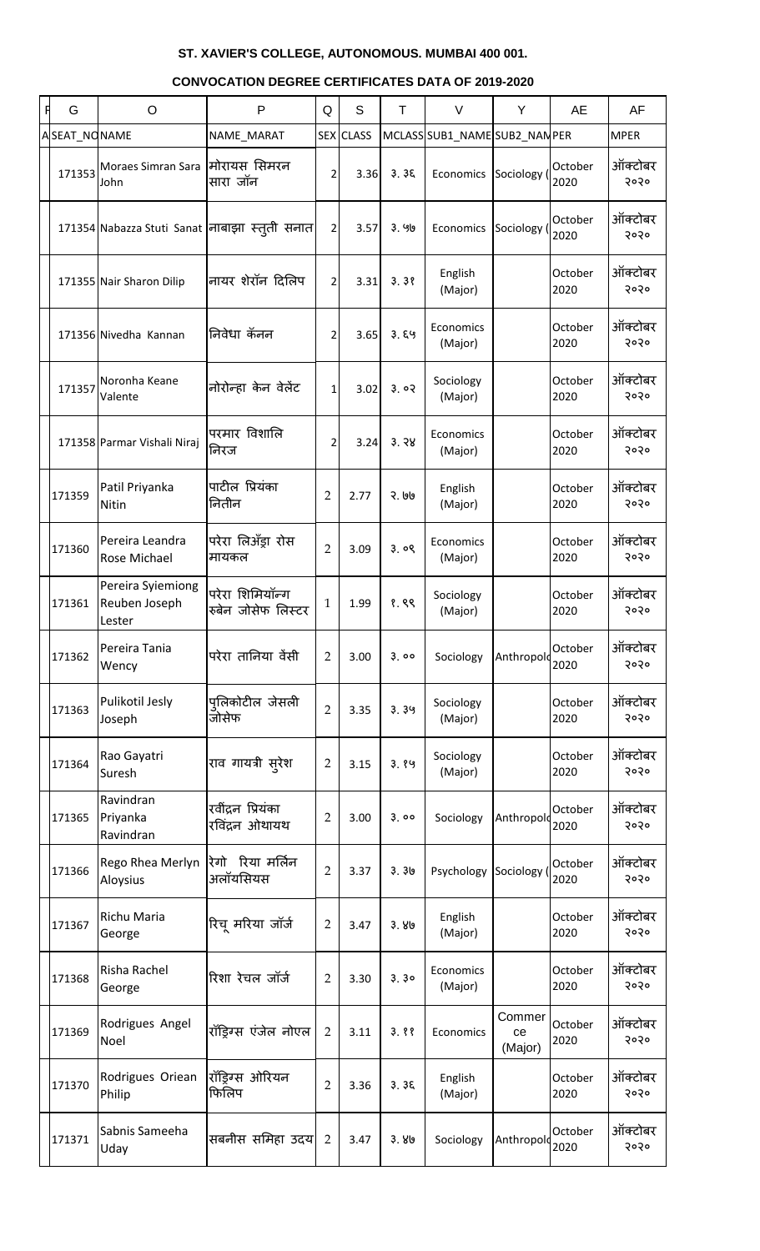| G            | O                                            | P                                             | Q              | S                | T.    | $\vee$                        | Y                       | AE              | AF              |
|--------------|----------------------------------------------|-----------------------------------------------|----------------|------------------|-------|-------------------------------|-------------------------|-----------------|-----------------|
| ASEAT_NONAME |                                              | NAME_MARAT                                    |                | <b>SEX CLASS</b> |       | MCLASS SUB1_NAME SUB2_NAN PER |                         |                 | <b>MPER</b>     |
| 171353       | Moraes Simran Sara<br>John                   | मोरायस सिमरन<br>सारा जॉन                      | 2              | 3.36             | 3.35  | Economics Sociology           |                         | October<br>2020 | ऑक्टोबर<br>२०२० |
|              |                                              | 171354 Nabazza Stuti Sanat नाबाझा स्त्ती सनात | $\overline{2}$ | 3.57             | ३. ५७ | Economics                     | Sociology               | October<br>2020 | ऑक्टोबर<br>२०२० |
|              | 171355 Nair Sharon Dilip                     | नायर शेरॉन दिलिप                              | $\overline{2}$ | 3.31             | 3.38  | English<br>(Major)            |                         | October<br>2020 | ऑक्टोबर<br>२०२० |
|              | 171356 Nivedha Kannan                        | निवेधा कॅनन                                   | $\overline{2}$ | 3.65             | 3.89  | Economics<br>(Major)          |                         | October<br>2020 | ऑक्टोबर<br>२०२० |
| 171357       | Noronha Keane<br>Valente                     | नोरोन्हा केन वेलेंट                           | $\mathbf{1}$   | 3.02             | 3.02  | Sociology<br>(Major)          |                         | October<br>2020 | ऑक्टोबर<br>२०२० |
|              | 171358 Parmar Vishali Niraj                  | परमार विशालि<br>निरज                          | 2              | 3.24             | 3.38  | Economics<br>(Major)          |                         | October<br>2020 | ऑक्टोबर<br>२०२० |
| 171359       | Patil Priyanka<br><b>Nitin</b>               | पाटील प्रियंका<br>नितीन                       | $\overline{2}$ | 2.77             | २. ७७ | English<br>(Major)            |                         | October<br>2020 | ऑक्टोबर<br>२०२० |
| 171360       | Pereira Leandra<br>Rose Michael              | परेरा लिअँड्रा रोस<br>मायकल                   | $\overline{2}$ | 3.09             | 3.09  | Economics<br>(Major)          |                         | October<br>2020 | ऑक्टोबर<br>२०२० |
| 171361       | Pereira Syiemiong<br>Reuben Joseph<br>Lester | परेरा शिमियॉन्ग<br>रुबेन जोसेफ लिस्टर         | $\mathbf{1}$   | 1.99             | १.९९  | Sociology<br>(Major)          |                         | October<br>2020 | ऑक्टोबर<br>२०२० |
| 171362       | Pereira Tania<br>Wency                       | परेरा तानिया वेंसी                            | $\overline{2}$ | 3.00             | 3.00  | Sociology                     | Anthropolo              | October<br>2020 | ऑक्टोबर<br>२०२० |
| 171363       | Pulikotil Jesly<br>Joseph                    | पतिकोटील जेसली<br>जोसेफ                       | $\overline{2}$ | 3.35             | 3.39  | Sociology<br>(Major)          |                         | October<br>2020 | ऑक्टोबर<br>२०२० |
| 171364       | Rao Gayatri<br>Suresh                        | राव गायत्री सूरेश                             | $\overline{2}$ | 3.15             | 3.89  | Sociology<br>(Major)          |                         | October<br>2020 | ऑक्टोबर<br>२०२० |
| 171365       | Ravindran<br>Priyanka<br>Ravindran           | रवींद्रन प्रियंका<br>रविंद्रन ओथायथ           | $\overline{2}$ | 3.00             | 3.00  | Sociology                     | Anthropold              | October<br>2020 | ऑक्टोबर<br>२०२० |
| 171366       | Rego Rhea Merlyn<br>Aloysius                 | रेगो रिया मर्लिन<br>अलॉयसियस                  | $\overline{2}$ | 3.37             | 3.30  | Psychology                    | Sociology               | October<br>2020 | ऑक्टोबर<br>२०२० |
| 171367       | Richu Maria<br>George                        | रिचू मरिया जॉर्ज                              | $\overline{2}$ | 3.47             | 3.80  | English<br>(Major)            |                         | October<br>2020 | ऑक्टोबर<br>२०२० |
| 171368       | Risha Rachel<br>George                       | रिशा रेचल जॉर्ज                               | $\overline{2}$ | 3.30             | 3.30  | Economics<br>(Major)          |                         | October<br>2020 | ऑक्टोबर<br>२०२० |
| 171369       | Rodrigues Angel<br>Noel                      | रॉड्रिग्स एंजेल नोएल                          | $\overline{2}$ | 3.11             | 3.88  | Economics                     | Commer<br>ce<br>(Major) | October<br>2020 | ऑक्टोबर<br>२०२० |
| 171370       | Rodrigues Oriean<br>Philip                   | रॉड्रिग्स ओरियन<br>फिलिप                      | $\overline{2}$ | 3.36             | 3.35  | English<br>(Major)            |                         | October<br>2020 | ऑक्टोबर<br>२०२० |
| 171371       | Sabnis Sameeha<br>Uday                       | सबनीस समिहा उदय                               | $\overline{2}$ | 3.47             | 3.80  | Sociology                     | Anthropolo              | October<br>2020 | ऑक्टोबर<br>5050 |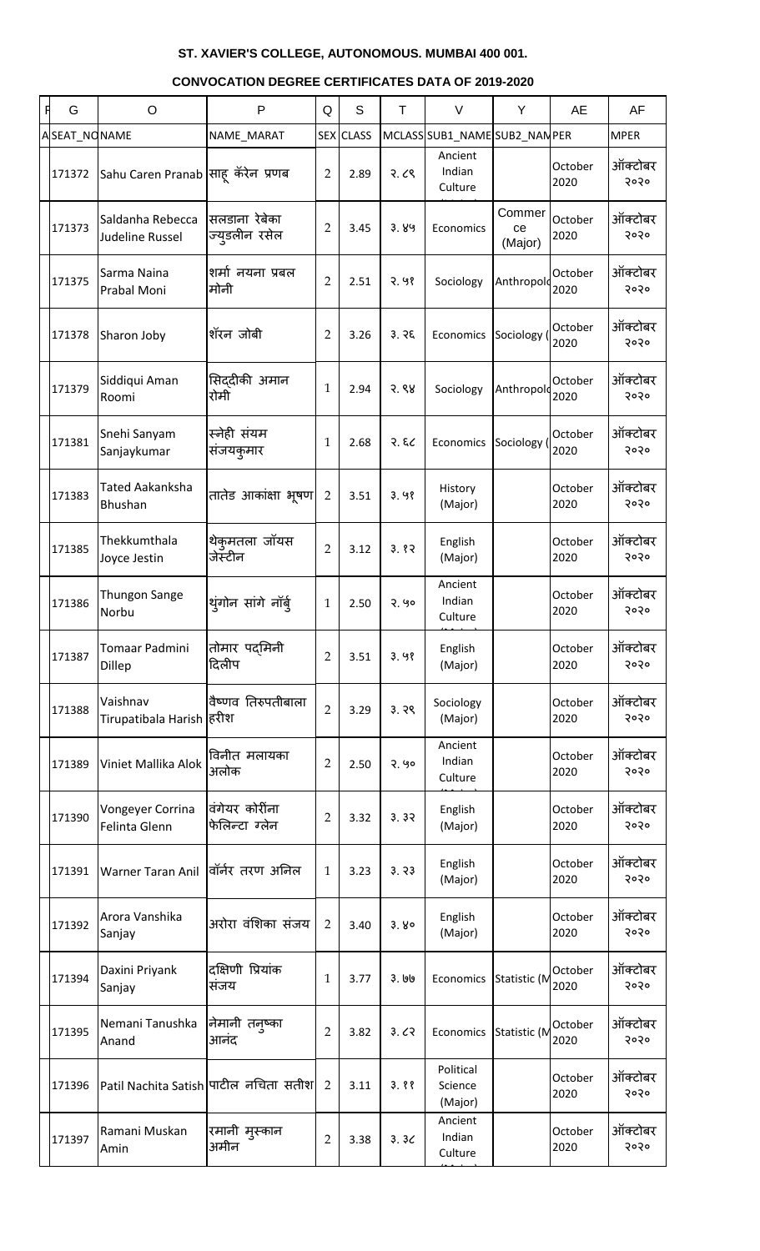| Ħ | G            | $\circ$                               | P                                     | Q              | S                | T       | $\vee$                          | Y                       | AE              | AF              |
|---|--------------|---------------------------------------|---------------------------------------|----------------|------------------|---------|---------------------------------|-------------------------|-----------------|-----------------|
|   | ASEAT_NONAME |                                       | NAME_MARAT                            |                | <b>SEX CLASS</b> |         | MCLASS SUB1_NAME SUB2_NAN PER   |                         |                 | <b>MPER</b>     |
|   | 171372       | Sahu Caren Pranab साह़्केरेन प्रणब    |                                       | $\overline{2}$ | 2.89             | 3.68    | Ancient<br>Indian<br>Culture    |                         | October<br>2020 | ऑक्टोबर<br>२०२० |
|   | 171373       | Saldanha Rebecca<br>Judeline Russel   | सलडाना रेबेका<br>ज्युडलीन रसेल        | $\overline{2}$ | 3.45             | 3.89    | Economics                       | Commer<br>ce<br>(Major) | October<br>2020 | ऑक्टोबर<br>२०२० |
|   | 171375       | Sarma Naina<br>Prabal Moni            | शर्मा नयना प्रबल<br>मोनी              | $\overline{2}$ | 2.51             | 2.98    | Sociology                       | Anthropolo              | October<br>2020 | ऑक्टोबर<br>२०२० |
|   | 171378       | Sharon Joby                           | शॅरन जोबी                             | $\overline{2}$ | 3.26             | 3.76    | Economics                       | Sociology (             | October<br>2020 | ऑक्टोबर<br>२०२० |
|   | 171379       | Siddiqui Aman<br>Roomi                | सिद्दीकी अमान<br>रोमी                 | $\mathbf{1}$   | 2.94             | 3.88    | Sociology                       | Anthropold              | October<br>2020 | ऑक्टोबर<br>२०२० |
|   | 171381       | Snehi Sanyam<br>Sanjaykumar           | स्नेही संयम<br>संजयकुमार              | $\mathbf{1}$   | 2.68             | २. ६८   | Economics                       | Sociology (             | October<br>2020 | ऑक्टोबर<br>२०२० |
|   | 171383       | <b>Tated Aakanksha</b><br>Bhushan     | तातेड आकांक्षा भूषण                   | $\overline{2}$ | 3.51             | 3.98    | History<br>(Major)              |                         | October<br>2020 | ऑक्टोबर<br>२०२० |
|   | 171385       | Thekkumthala<br>Joyce Jestin          | थेकुमतला जॉयस<br>जेस्टीन              | $\overline{2}$ | 3.12             | 3.82    | English<br>(Major)              |                         | October<br>2020 | ऑक्टोबर<br>२०२० |
|   | 171386       | Thungon Sange<br>Norbu                | थुंगोन सांगे नॉर्ब्                   | $\mathbf{1}$   | 2.50             | २. ५०   | Ancient<br>Indian<br>Culture    |                         | October<br>2020 | ऑक्टोबर<br>२०२० |
|   | 171387       | Tomaar Padmini<br>Dillep              | तोमार पदमिनी<br>दिलीप                 | $\overline{2}$ | 3.51             | 3.98    | English<br>(Major)              |                         | October<br>2020 | ऑक्टोबर<br>२०२० |
|   | 171388       | Vaishnav<br>Tirupatibala Harish हिरीश | वैष्णव तिरुपतीबाला                    | $\overline{2}$ | 3.29             | 3.39    | Sociology<br>(Major)            |                         | October<br>2020 | ऑक्टोबर<br>२०२० |
|   | 171389       | Viniet Mallika Alok                   | विनीत मलायका<br>अलोक                  | $\overline{2}$ | 2.50             | २. ५०   | Ancient<br>Indian<br>Culture    |                         | October<br>2020 | ऑक्टोबर<br>२०२० |
|   | 171390       | Vongeyer Corrina<br>Felinta Glenn     | वंगेयर कोरींना<br>फेलिन्टा ग्लेन      | $\overline{2}$ | 3.32             | 3.32    | English<br>(Major)              |                         | October<br>2020 | ऑक्टोबर<br>२०२० |
|   | 171391       | <b>Warner Taran Anil</b>              | वॉर्नर तरण अनिल                       | $\mathbf{1}$   | 3.23             | 3.73    | English<br>(Major)              |                         | October<br>2020 | ऑक्टोबर<br>२०२० |
|   | 171392       | Arora Vanshika<br>Sanjay              | अरोरा वंशिका संजय                     | $\overline{2}$ | 3.40             | 3.80    | English<br>(Major)              |                         | October<br>2020 | ऑक्टोबर<br>२०२० |
|   | 171394       | Daxini Priyank<br>Sanjay              | दक्षिणी प्रियांक<br>संजय              | $\mathbf{1}$   | 3.77             | 3. 1919 | Economics                       | Statistic (M            | October<br>2020 | ऑक्टोबर<br>२०२० |
|   | 171395       | Nemani Tanushka<br>Anand              | कोमानी तनुष्का<br>आनंद                | $\overline{2}$ | 3.82             | 3.62    | Economics                       | Statistic (M            | October<br>2020 | ऑक्टोबर<br>२०२० |
|   | 171396       |                                       | Patil Nachita Satish पाटील नचिता सतीश | $\overline{2}$ | 3.11             | 3.88    | Political<br>Science<br>(Major) |                         | October<br>2020 | ऑक्टोबर<br>२०२० |
|   | 171397       | Ramani Muskan<br>Amin                 | रमानी मुस्कान<br>अमीन                 | $\overline{2}$ | 3.38             | 3.3<    | Ancient<br>Indian<br>Culture    |                         | October<br>2020 | ऑक्टोबर<br>२०२० |